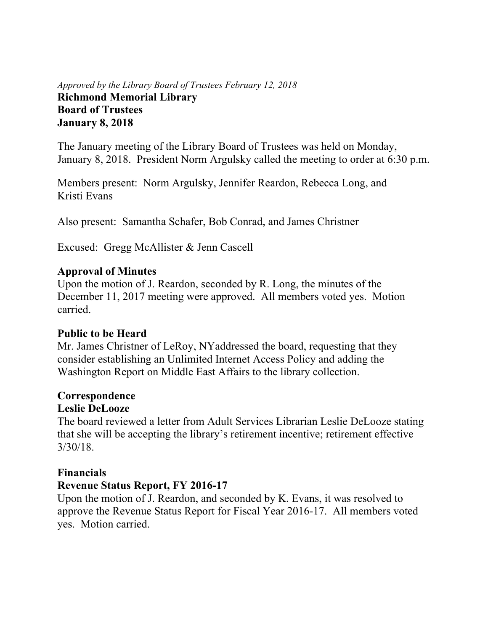### *Approved by the Library Board of Trustees February 12, 2018* **Richmond Memorial Library Board of Trustees January 8, 2018**

The January meeting of the Library Board of Trustees was held on Monday, January 8, 2018. President Norm Argulsky called the meeting to order at 6:30 p.m.

Members present: Norm Argulsky, Jennifer Reardon, Rebecca Long, and Kristi Evans

Also present: Samantha Schafer, Bob Conrad, and James Christner

Excused: Gregg McAllister & Jenn Cascell

### **Approval of Minutes**

Upon the motion of J. Reardon, seconded by R. Long, the minutes of the December 11, 2017 meeting were approved. All members voted yes. Motion carried.

# **Public to be Heard**

Mr. James Christner of LeRoy, NYaddressed the board, requesting that they consider establishing an Unlimited Internet Access Policy and adding the Washington Report on Middle East Affairs to the library collection.

# **Correspondence**

# **Leslie DeLooze**

The board reviewed a letter from Adult Services Librarian Leslie DeLooze stating that she will be accepting the library's retirement incentive; retirement effective 3/30/18.

# **Financials**

# **Revenue Status Report, FY 2016-17**

Upon the motion of J. Reardon, and seconded by K. Evans, it was resolved to approve the Revenue Status Report for Fiscal Year 2016-17. All members voted yes. Motion carried.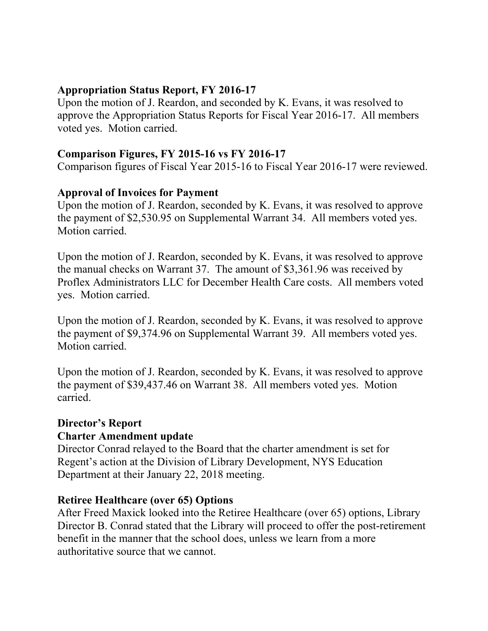### **Appropriation Status Report, FY 2016-17**

Upon the motion of J. Reardon, and seconded by K. Evans, it was resolved to approve the Appropriation Status Reports for Fiscal Year 2016-17. All members voted yes. Motion carried.

## **Comparison Figures, FY 2015-16 vs FY 2016-17**

Comparison figures of Fiscal Year 2015-16 to Fiscal Year 2016-17 were reviewed.

### **Approval of Invoices for Payment**

Upon the motion of J. Reardon, seconded by K. Evans, it was resolved to approve the payment of \$2,530.95 on Supplemental Warrant 34. All members voted yes. Motion carried.

Upon the motion of J. Reardon, seconded by K. Evans, it was resolved to approve the manual checks on Warrant 37. The amount of \$3,361.96 was received by Proflex Administrators LLC for December Health Care costs. All members voted yes. Motion carried.

Upon the motion of J. Reardon, seconded by K. Evans, it was resolved to approve the payment of \$9,374.96 on Supplemental Warrant 39. All members voted yes. Motion carried.

Upon the motion of J. Reardon, seconded by K. Evans, it was resolved to approve the payment of \$39,437.46 on Warrant 38. All members voted yes. Motion carried.

### **Director's Report**

### **Charter Amendment update**

Director Conrad relayed to the Board that the charter amendment is set for Regent's action at the Division of Library Development, NYS Education Department at their January 22, 2018 meeting.

### **Retiree Healthcare (over 65) Options**

After Freed Maxick looked into the Retiree Healthcare (over 65) options, Library Director B. Conrad stated that the Library will proceed to offer the post-retirement benefit in the manner that the school does, unless we learn from a more authoritative source that we cannot.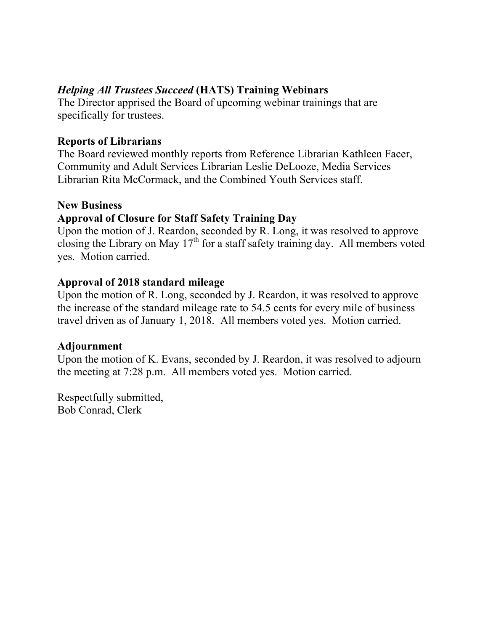# *Helping All Trustees Succeed* **(HATS) Training Webinars**

The Director apprised the Board of upcoming webinar trainings that are specifically for trustees.

### **Reports of Librarians**

The Board reviewed monthly reports from Reference Librarian Kathleen Facer, Community and Adult Services Librarian Leslie DeLooze, Media Services Librarian Rita McCormack, and the Combined Youth Services staff.

### **New Business**

# **Approval of Closure for Staff Safety Training Day**

Upon the motion of J. Reardon, seconded by R. Long, it was resolved to approve closing the Library on May  $17<sup>th</sup>$  for a staff safety training day. All members voted yes. Motion carried.

### **Approval of 2018 standard mileage**

Upon the motion of R. Long, seconded by J. Reardon, it was resolved to approve the increase of the standard mileage rate to 54.5 cents for every mile of business travel driven as of January 1, 2018. All members voted yes. Motion carried.

### **Adjournment**

Upon the motion of K. Evans, seconded by J. Reardon, it was resolved to adjourn the meeting at 7:28 p.m. All members voted yes. Motion carried.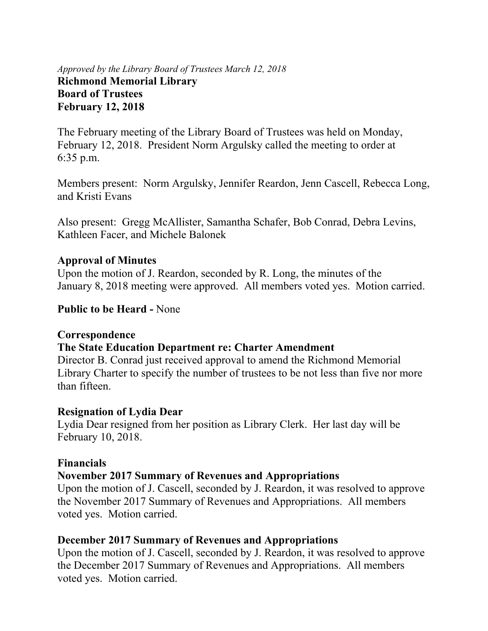### *Approved by the Library Board of Trustees March 12, 2018* **Richmond Memorial Library Board of Trustees February 12, 2018**

The February meeting of the Library Board of Trustees was held on Monday, February 12, 2018. President Norm Argulsky called the meeting to order at 6:35 p.m.

Members present: Norm Argulsky, Jennifer Reardon, Jenn Cascell, Rebecca Long, and Kristi Evans

Also present: Gregg McAllister, Samantha Schafer, Bob Conrad, Debra Levins, Kathleen Facer, and Michele Balonek

### **Approval of Minutes**

Upon the motion of J. Reardon, seconded by R. Long, the minutes of the January 8, 2018 meeting were approved. All members voted yes. Motion carried.

### **Public to be Heard -** None

### **Correspondence**

### **The State Education Department re: Charter Amendment**

Director B. Conrad just received approval to amend the Richmond Memorial Library Charter to specify the number of trustees to be not less than five nor more than fifteen.

#### **Resignation of Lydia Dear**

Lydia Dear resigned from her position as Library Clerk. Her last day will be February 10, 2018.

### **Financials**

### **November 2017 Summary of Revenues and Appropriations**

Upon the motion of J. Cascell, seconded by J. Reardon, it was resolved to approve the November 2017 Summary of Revenues and Appropriations. All members voted yes. Motion carried.

### **December 2017 Summary of Revenues and Appropriations**

Upon the motion of J. Cascell, seconded by J. Reardon, it was resolved to approve the December 2017 Summary of Revenues and Appropriations. All members voted yes. Motion carried.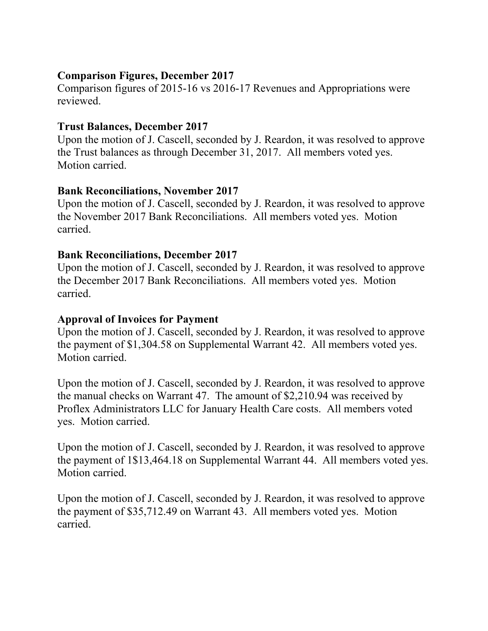### **Comparison Figures, December 2017**

Comparison figures of 2015-16 vs 2016-17 Revenues and Appropriations were reviewed.

# **Trust Balances, December 2017**

Upon the motion of J. Cascell, seconded by J. Reardon, it was resolved to approve the Trust balances as through December 31, 2017. All members voted yes. Motion carried.

### **Bank Reconciliations, November 2017**

Upon the motion of J. Cascell, seconded by J. Reardon, it was resolved to approve the November 2017 Bank Reconciliations. All members voted yes. Motion carried.

### **Bank Reconciliations, December 2017**

Upon the motion of J. Cascell, seconded by J. Reardon, it was resolved to approve the December 2017 Bank Reconciliations. All members voted yes. Motion carried.

### **Approval of Invoices for Payment**

Upon the motion of J. Cascell, seconded by J. Reardon, it was resolved to approve the payment of \$1,304.58 on Supplemental Warrant 42. All members voted yes. Motion carried.

Upon the motion of J. Cascell, seconded by J. Reardon, it was resolved to approve the manual checks on Warrant 47. The amount of \$2,210.94 was received by Proflex Administrators LLC for January Health Care costs. All members voted yes. Motion carried.

Upon the motion of J. Cascell, seconded by J. Reardon, it was resolved to approve the payment of 1\$13,464.18 on Supplemental Warrant 44. All members voted yes. Motion carried.

Upon the motion of J. Cascell, seconded by J. Reardon, it was resolved to approve the payment of \$35,712.49 on Warrant 43. All members voted yes. Motion carried.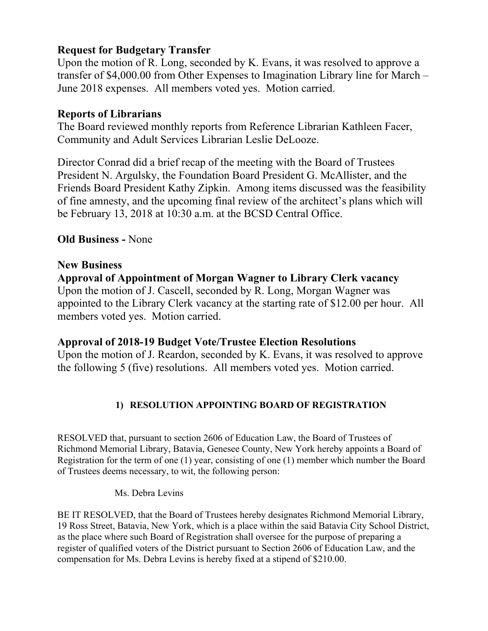# **Request for Budgetary Transfer**

Upon the motion of R. Long, seconded by K. Evans, it was resolved to approve a transfer of \$4,000.00 from Other Expenses to Imagination Library line for March – June 2018 expenses. All members voted yes. Motion carried.

#### **Reports of Librarians**

The Board reviewed monthly reports from Reference Librarian Kathleen Facer, Community and Adult Services Librarian Leslie DeLooze.

Director Conrad did a brief recap of the meeting with the Board of Trustees President N. Argulsky, the Foundation Board President G. McAllister, and the Friends Board President Kathy Zipkin. Among items discussed was the feasibility of fine amnesty, and the upcoming final review of the architect's plans which will be February 13, 2018 at 10:30 a.m. at the BCSD Central Office.

### **Old Business -** None

#### **New Business**

**Approval of Appointment of Morgan Wagner to Library Clerk vacancy**  Upon the motion of J. Cascell, seconded by R. Long, Morgan Wagner was appointed to the Library Clerk vacancy at the starting rate of \$12.00 per hour. All members voted yes. Motion carried.

### **Approval of 2018-19 Budget Vote/Trustee Election Resolutions**

Upon the motion of J. Reardon, seconded by K. Evans, it was resolved to approve the following 5 (five) resolutions. All members voted yes. Motion carried.

### **1) RESOLUTION APPOINTING BOARD OF REGISTRATION**

RESOLVED that, pursuant to section 2606 of Education Law, the Board of Trustees of Richmond Memorial Library, Batavia, Genesee County, New York hereby appoints a Board of Registration for the term of one (1) year, consisting of one (1) member which number the Board of Trustees deems necessary, to wit, the following person:

Ms. Debra Levins

BE IT RESOLVED, that the Board of Trustees hereby designates Richmond Memorial Library, 19 Ross Street, Batavia, New York, which is a place within the said Batavia City School District, as the place where such Board of Registration shall oversee for the purpose of preparing a register of qualified voters of the District pursuant to Section 2606 of Education Law, and the compensation for Ms. Debra Levins is hereby fixed at a stipend of \$210.00.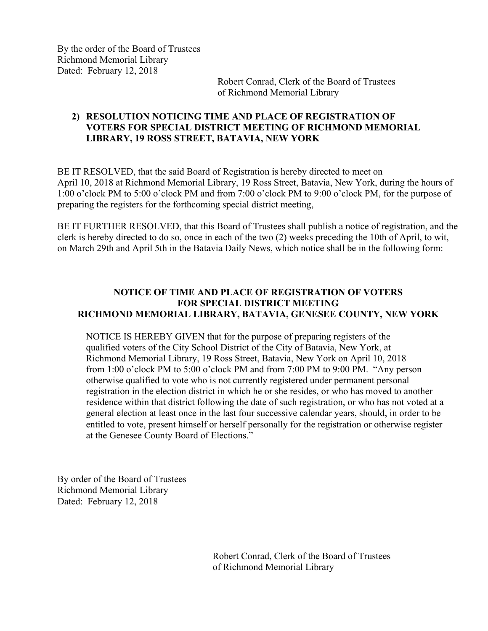By the order of the Board of Trustees Richmond Memorial Library Dated: February 12, 2018

> Robert Conrad, Clerk of the Board of Trustees of Richmond Memorial Library

#### **2) RESOLUTION NOTICING TIME AND PLACE OF REGISTRATION OF VOTERS FOR SPECIAL DISTRICT MEETING OF RICHMOND MEMORIAL LIBRARY, 19 ROSS STREET, BATAVIA, NEW YORK**

BE IT RESOLVED, that the said Board of Registration is hereby directed to meet on April 10, 2018 at Richmond Memorial Library, 19 Ross Street, Batavia, New York, during the hours of 1:00 o'clock PM to 5:00 o'clock PM and from 7:00 o'clock PM to 9:00 o'clock PM, for the purpose of preparing the registers for the forthcoming special district meeting,

BE IT FURTHER RESOLVED, that this Board of Trustees shall publish a notice of registration, and the clerk is hereby directed to do so, once in each of the two (2) weeks preceding the 10th of April, to wit, on March 29th and April 5th in the Batavia Daily News, which notice shall be in the following form:

#### **NOTICE OF TIME AND PLACE OF REGISTRATION OF VOTERS FOR SPECIAL DISTRICT MEETING RICHMOND MEMORIAL LIBRARY, BATAVIA, GENESEE COUNTY, NEW YORK**

 NOTICE IS HEREBY GIVEN that for the purpose of preparing registers of the qualified voters of the City School District of the City of Batavia, New York, at Richmond Memorial Library, 19 Ross Street, Batavia, New York on April 10, 2018 from 1:00 o'clock PM to 5:00 o'clock PM and from 7:00 PM to 9:00 PM. "Any person otherwise qualified to vote who is not currently registered under permanent personal registration in the election district in which he or she resides, or who has moved to another residence within that district following the date of such registration, or who has not voted at a general election at least once in the last four successive calendar years, should, in order to be entitled to vote, present himself or herself personally for the registration or otherwise register at the Genesee County Board of Elections."

By order of the Board of Trustees Richmond Memorial Library Dated: February 12, 2018

> Robert Conrad, Clerk of the Board of Trustees of Richmond Memorial Library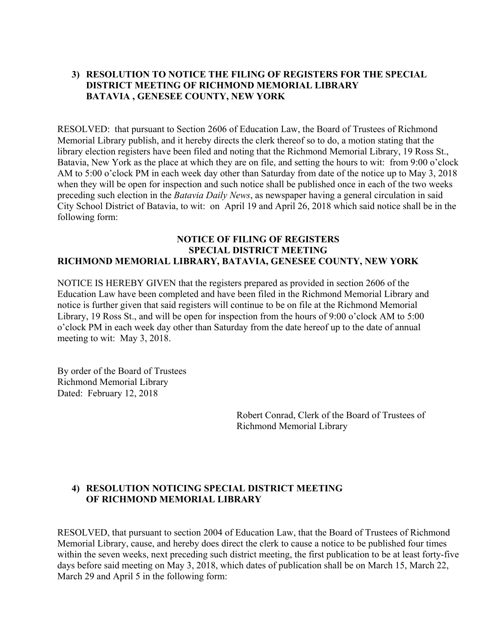#### **3) RESOLUTION TO NOTICE THE FILING OF REGISTERS FOR THE SPECIAL DISTRICT MEETING OF RICHMOND MEMORIAL LIBRARY BATAVIA , GENESEE COUNTY, NEW YORK**

RESOLVED: that pursuant to Section 2606 of Education Law, the Board of Trustees of Richmond Memorial Library publish, and it hereby directs the clerk thereof so to do, a motion stating that the library election registers have been filed and noting that the Richmond Memorial Library, 19 Ross St., Batavia, New York as the place at which they are on file, and setting the hours to wit: from 9:00 o'clock AM to 5:00 o'clock PM in each week day other than Saturday from date of the notice up to May 3, 2018 when they will be open for inspection and such notice shall be published once in each of the two weeks preceding such election in the *Batavia Daily News*, as newspaper having a general circulation in said City School District of Batavia, to wit: on April 19 and April 26, 2018 which said notice shall be in the following form:

#### **NOTICE OF FILING OF REGISTERS SPECIAL DISTRICT MEETING RICHMOND MEMORIAL LIBRARY, BATAVIA, GENESEE COUNTY, NEW YORK**

NOTICE IS HEREBY GIVEN that the registers prepared as provided in section 2606 of the Education Law have been completed and have been filed in the Richmond Memorial Library and notice is further given that said registers will continue to be on file at the Richmond Memorial Library, 19 Ross St., and will be open for inspection from the hours of 9:00 o'clock AM to 5:00 o'clock PM in each week day other than Saturday from the date hereof up to the date of annual meeting to wit: May 3, 2018.

By order of the Board of Trustees Richmond Memorial Library Dated: February 12, 2018

> Robert Conrad, Clerk of the Board of Trustees of Richmond Memorial Library

#### **4) RESOLUTION NOTICING SPECIAL DISTRICT MEETING OF RICHMOND MEMORIAL LIBRARY**

RESOLVED, that pursuant to section 2004 of Education Law, that the Board of Trustees of Richmond Memorial Library, cause, and hereby does direct the clerk to cause a notice to be published four times within the seven weeks, next preceding such district meeting, the first publication to be at least forty-five days before said meeting on May 3, 2018, which dates of publication shall be on March 15, March 22, March 29 and April 5 in the following form: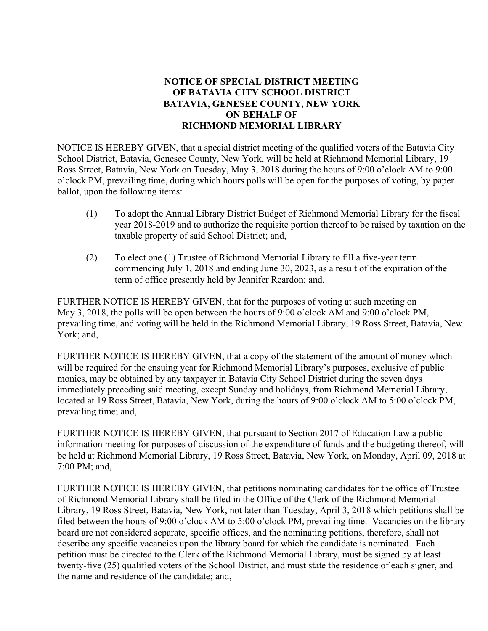#### **NOTICE OF SPECIAL DISTRICT MEETING OF BATAVIA CITY SCHOOL DISTRICT BATAVIA, GENESEE COUNTY, NEW YORK ON BEHALF OF RICHMOND MEMORIAL LIBRARY**

NOTICE IS HEREBY GIVEN, that a special district meeting of the qualified voters of the Batavia City School District, Batavia, Genesee County, New York, will be held at Richmond Memorial Library, 19 Ross Street, Batavia, New York on Tuesday, May 3, 2018 during the hours of 9:00 o'clock AM to 9:00 o'clock PM, prevailing time, during which hours polls will be open for the purposes of voting, by paper ballot, upon the following items:

- (1) To adopt the Annual Library District Budget of Richmond Memorial Library for the fiscal year 2018-2019 and to authorize the requisite portion thereof to be raised by taxation on the taxable property of said School District; and,
- (2) To elect one (1) Trustee of Richmond Memorial Library to fill a five-year term commencing July 1, 2018 and ending June 30, 2023, as a result of the expiration of the term of office presently held by Jennifer Reardon; and,

FURTHER NOTICE IS HEREBY GIVEN, that for the purposes of voting at such meeting on May 3, 2018, the polls will be open between the hours of 9:00 o'clock AM and 9:00 o'clock PM, prevailing time, and voting will be held in the Richmond Memorial Library, 19 Ross Street, Batavia, New York; and,

FURTHER NOTICE IS HEREBY GIVEN, that a copy of the statement of the amount of money which will be required for the ensuing year for Richmond Memorial Library's purposes, exclusive of public monies, may be obtained by any taxpayer in Batavia City School District during the seven days immediately preceding said meeting, except Sunday and holidays, from Richmond Memorial Library, located at 19 Ross Street, Batavia, New York, during the hours of 9:00 o'clock AM to 5:00 o'clock PM, prevailing time; and,

FURTHER NOTICE IS HEREBY GIVEN, that pursuant to Section 2017 of Education Law a public information meeting for purposes of discussion of the expenditure of funds and the budgeting thereof, will be held at Richmond Memorial Library, 19 Ross Street, Batavia, New York, on Monday, April 09, 2018 at 7:00 PM; and,

FURTHER NOTICE IS HEREBY GIVEN, that petitions nominating candidates for the office of Trustee of Richmond Memorial Library shall be filed in the Office of the Clerk of the Richmond Memorial Library, 19 Ross Street, Batavia, New York, not later than Tuesday, April 3, 2018 which petitions shall be filed between the hours of 9:00 o'clock AM to 5:00 o'clock PM, prevailing time. Vacancies on the library board are not considered separate, specific offices, and the nominating petitions, therefore, shall not describe any specific vacancies upon the library board for which the candidate is nominated. Each petition must be directed to the Clerk of the Richmond Memorial Library, must be signed by at least twenty-five (25) qualified voters of the School District, and must state the residence of each signer, and the name and residence of the candidate; and,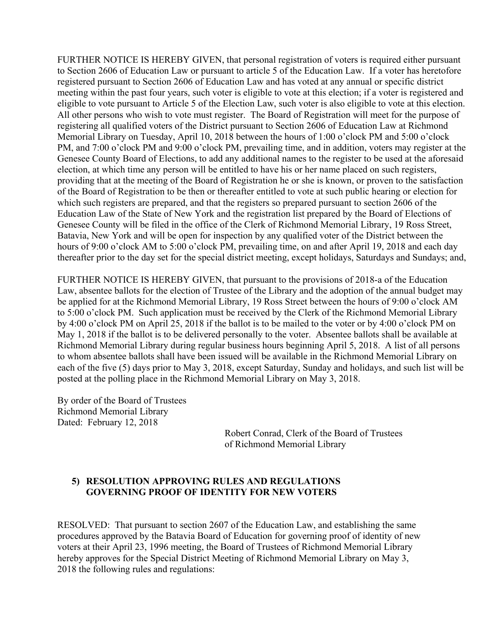FURTHER NOTICE IS HEREBY GIVEN, that personal registration of voters is required either pursuant to Section 2606 of Education Law or pursuant to article 5 of the Education Law. If a voter has heretofore registered pursuant to Section 2606 of Education Law and has voted at any annual or specific district meeting within the past four years, such voter is eligible to vote at this election; if a voter is registered and eligible to vote pursuant to Article 5 of the Election Law, such voter is also eligible to vote at this election. All other persons who wish to vote must register. The Board of Registration will meet for the purpose of registering all qualified voters of the District pursuant to Section 2606 of Education Law at Richmond Memorial Library on Tuesday, April 10, 2018 between the hours of 1:00 o'clock PM and 5:00 o'clock PM, and 7:00 o'clock PM and 9:00 o'clock PM, prevailing time, and in addition, voters may register at the Genesee County Board of Elections, to add any additional names to the register to be used at the aforesaid election, at which time any person will be entitled to have his or her name placed on such registers, providing that at the meeting of the Board of Registration he or she is known, or proven to the satisfaction of the Board of Registration to be then or thereafter entitled to vote at such public hearing or election for which such registers are prepared, and that the registers so prepared pursuant to section 2606 of the Education Law of the State of New York and the registration list prepared by the Board of Elections of Genesee County will be filed in the office of the Clerk of Richmond Memorial Library, 19 Ross Street, Batavia, New York and will be open for inspection by any qualified voter of the District between the hours of 9:00 o'clock AM to 5:00 o'clock PM, prevailing time, on and after April 19, 2018 and each day thereafter prior to the day set for the special district meeting, except holidays, Saturdays and Sundays; and,

FURTHER NOTICE IS HEREBY GIVEN, that pursuant to the provisions of 2018-a of the Education Law, absentee ballots for the election of Trustee of the Library and the adoption of the annual budget may be applied for at the Richmond Memorial Library, 19 Ross Street between the hours of 9:00 o'clock AM to 5:00 o'clock PM. Such application must be received by the Clerk of the Richmond Memorial Library by 4:00 o'clock PM on April 25, 2018 if the ballot is to be mailed to the voter or by 4:00 o'clock PM on May 1, 2018 if the ballot is to be delivered personally to the voter. Absentee ballots shall be available at Richmond Memorial Library during regular business hours beginning April 5, 2018. A list of all persons to whom absentee ballots shall have been issued will be available in the Richmond Memorial Library on each of the five (5) days prior to May 3, 2018, except Saturday, Sunday and holidays, and such list will be posted at the polling place in the Richmond Memorial Library on May 3, 2018.

By order of the Board of Trustees Richmond Memorial Library Dated: February 12, 2018

> Robert Conrad, Clerk of the Board of Trustees of Richmond Memorial Library

#### **5) RESOLUTION APPROVING RULES AND REGULATIONS GOVERNING PROOF OF IDENTITY FOR NEW VOTERS**

RESOLVED: That pursuant to section 2607 of the Education Law, and establishing the same procedures approved by the Batavia Board of Education for governing proof of identity of new voters at their April 23, 1996 meeting, the Board of Trustees of Richmond Memorial Library hereby approves for the Special District Meeting of Richmond Memorial Library on May 3, 2018 the following rules and regulations: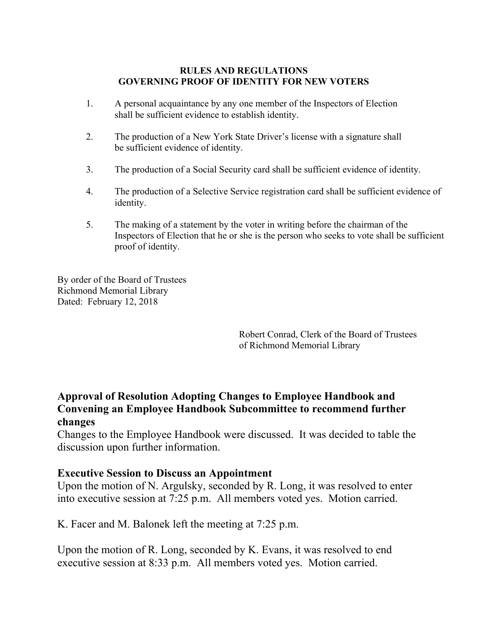#### **RULES AND REGULATIONS GOVERNING PROOF OF IDENTITY FOR NEW VOTERS**

- 1. A personal acquaintance by any one member of the Inspectors of Election shall be sufficient evidence to establish identity.
- 2. The production of a New York State Driver's license with a signature shall be sufficient evidence of identity.
- 3. The production of a Social Security card shall be sufficient evidence of identity.
- 4. The production of a Selective Service registration card shall be sufficient evidence of identity.
- 5. The making of a statement by the voter in writing before the chairman of the Inspectors of Election that he or she is the person who seeks to vote shall be sufficient proof of identity.

By order of the Board of Trustees Richmond Memorial Library Dated: February 12, 2018

> Robert Conrad, Clerk of the Board of Trustees of Richmond Memorial Library

### **Approval of Resolution Adopting Changes to Employee Handbook and Convening an Employee Handbook Subcommittee to recommend further changes**

Changes to the Employee Handbook were discussed. It was decided to table the discussion upon further information.

### **Executive Session to Discuss an Appointment**

Upon the motion of N. Argulsky, seconded by R. Long, it was resolved to enter into executive session at 7:25 p.m. All members voted yes. Motion carried.

K. Facer and M. Balonek left the meeting at 7:25 p.m.

Upon the motion of R. Long, seconded by K. Evans, it was resolved to end executive session at 8:33 p.m. All members voted yes. Motion carried.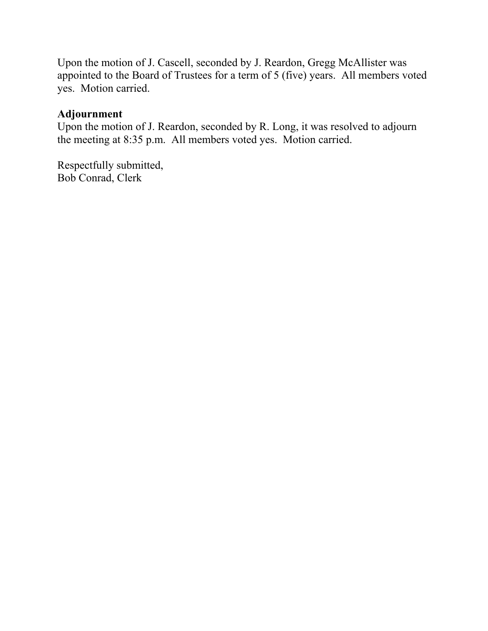Upon the motion of J. Cascell, seconded by J. Reardon, Gregg McAllister was appointed to the Board of Trustees for a term of 5 (five) years. All members voted yes. Motion carried.

#### **Adjournment**

Upon the motion of J. Reardon, seconded by R. Long, it was resolved to adjourn the meeting at 8:35 p.m. All members voted yes. Motion carried.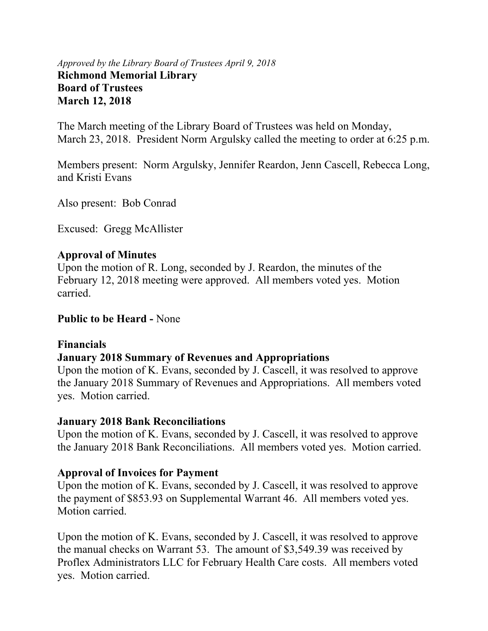### *Approved by the Library Board of Trustees April 9, 2018* **Richmond Memorial Library Board of Trustees March 12, 2018**

The March meeting of the Library Board of Trustees was held on Monday, March 23, 2018. President Norm Argulsky called the meeting to order at 6:25 p.m.

Members present: Norm Argulsky, Jennifer Reardon, Jenn Cascell, Rebecca Long, and Kristi Evans

Also present: Bob Conrad

Excused: Gregg McAllister

# **Approval of Minutes**

Upon the motion of R. Long, seconded by J. Reardon, the minutes of the February 12, 2018 meeting were approved. All members voted yes. Motion carried.

**Public to be Heard -** None

### **Financials**

# **January 2018 Summary of Revenues and Appropriations**

Upon the motion of K. Evans, seconded by J. Cascell, it was resolved to approve the January 2018 Summary of Revenues and Appropriations. All members voted yes. Motion carried.

### **January 2018 Bank Reconciliations**

Upon the motion of K. Evans, seconded by J. Cascell, it was resolved to approve the January 2018 Bank Reconciliations. All members voted yes. Motion carried.

# **Approval of Invoices for Payment**

Upon the motion of K. Evans, seconded by J. Cascell, it was resolved to approve the payment of \$853.93 on Supplemental Warrant 46. All members voted yes. Motion carried.

Upon the motion of K. Evans, seconded by J. Cascell, it was resolved to approve the manual checks on Warrant 53. The amount of \$3,549.39 was received by Proflex Administrators LLC for February Health Care costs. All members voted yes. Motion carried.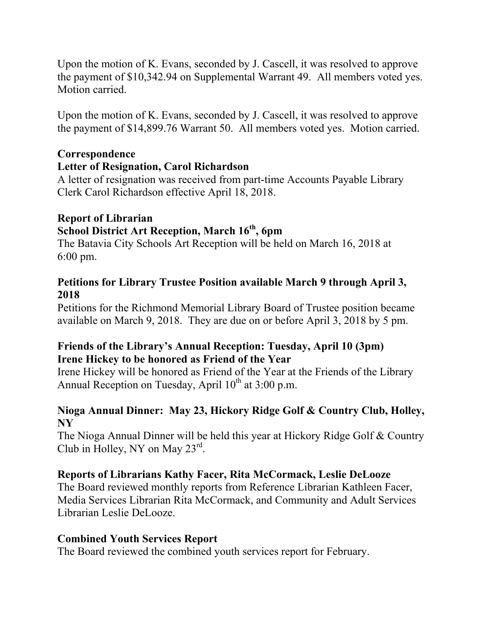Upon the motion of K. Evans, seconded by J. Cascell, it was resolved to approve the payment of \$10,342.94 on Supplemental Warrant 49. All members voted yes. Motion carried.

Upon the motion of K. Evans, seconded by J. Cascell, it was resolved to approve the payment of \$14,899.76 Warrant 50. All members voted yes. Motion carried.

### **Correspondence**

### **Letter of Resignation, Carol Richardson**

A letter of resignation was received from part-time Accounts Payable Library Clerk Carol Richardson effective April 18, 2018.

# **Report of Librarian School District Art Reception, March 16th, 6pm**

The Batavia City Schools Art Reception will be held on March 16, 2018 at 6:00 pm.

### **Petitions for Library Trustee Position available March 9 through April 3, 2018**

Petitions for the Richmond Memorial Library Board of Trustee position became available on March 9, 2018. They are due on or before April 3, 2018 by 5 pm.

### **Friends of the Library's Annual Reception: Tuesday, April 10 (3pm) Irene Hickey to be honored as Friend of the Year**

Irene Hickey will be honored as Friend of the Year at the Friends of the Library Annual Reception on Tuesday, April  $10^{th}$  at 3:00 p.m.

# **Nioga Annual Dinner: May 23, Hickory Ridge Golf & Country Club, Holley, NY**

The Nioga Annual Dinner will be held this year at Hickory Ridge Golf & Country Club in Holley, NY on May 23rd.

# **Reports of Librarians Kathy Facer, Rita McCormack, Leslie DeLooze**

The Board reviewed monthly reports from Reference Librarian Kathleen Facer, Media Services Librarian Rita McCormack, and Community and Adult Services Librarian Leslie DeLooze.

# **Combined Youth Services Report**

The Board reviewed the combined youth services report for February.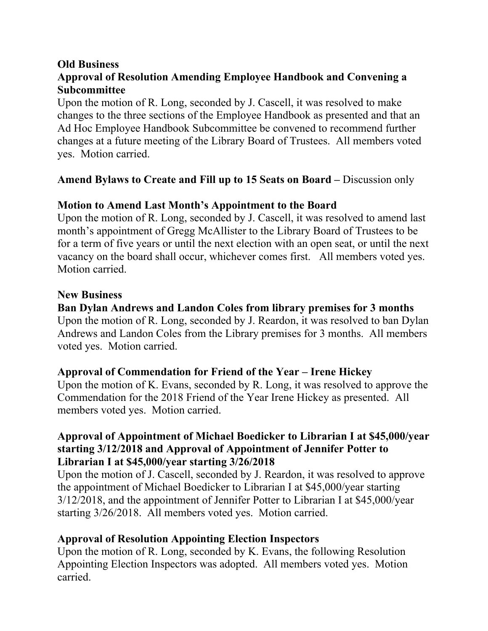### **Old Business**

# **Approval of Resolution Amending Employee Handbook and Convening a Subcommittee**

Upon the motion of R. Long, seconded by J. Cascell, it was resolved to make changes to the three sections of the Employee Handbook as presented and that an Ad Hoc Employee Handbook Subcommittee be convened to recommend further changes at a future meeting of the Library Board of Trustees. All members voted yes. Motion carried.

# Amend Bylaws to Create and Fill up to 15 Seats on Board – Discussion only

# **Motion to Amend Last Month's Appointment to the Board**

Upon the motion of R. Long, seconded by J. Cascell, it was resolved to amend last month's appointment of Gregg McAllister to the Library Board of Trustees to be for a term of five years or until the next election with an open seat, or until the next vacancy on the board shall occur, whichever comes first. All members voted yes. Motion carried.

### **New Business**

# **Ban Dylan Andrews and Landon Coles from library premises for 3 months**

Upon the motion of R. Long, seconded by J. Reardon, it was resolved to ban Dylan Andrews and Landon Coles from the Library premises for 3 months. All members voted yes. Motion carried.

# **Approval of Commendation for Friend of the Year – Irene Hickey**

Upon the motion of K. Evans, seconded by R. Long, it was resolved to approve the Commendation for the 2018 Friend of the Year Irene Hickey as presented. All members voted yes. Motion carried.

### **Approval of Appointment of Michael Boedicker to Librarian I at \$45,000/year starting 3/12/2018 and Approval of Appointment of Jennifer Potter to Librarian I at \$45,000/year starting 3/26/2018**

Upon the motion of J. Cascell, seconded by J. Reardon, it was resolved to approve the appointment of Michael Boedicker to Librarian I at \$45,000/year starting 3/12/2018, and the appointment of Jennifer Potter to Librarian I at \$45,000/year starting 3/26/2018. All members voted yes. Motion carried.

# **Approval of Resolution Appointing Election Inspectors**

Upon the motion of R. Long, seconded by K. Evans, the following Resolution Appointing Election Inspectors was adopted. All members voted yes. Motion carried.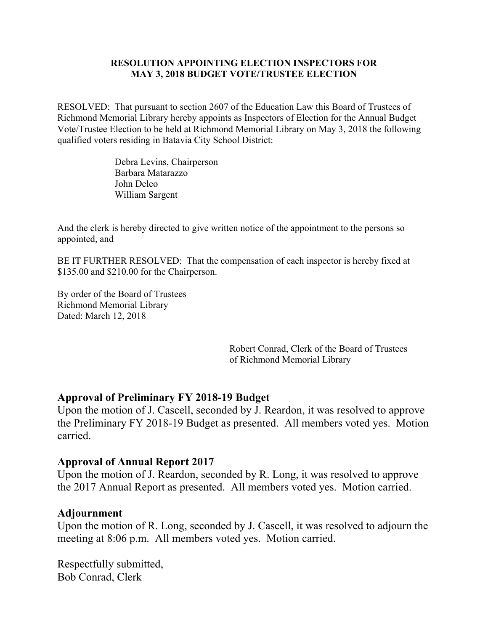#### **RESOLUTION APPOINTING ELECTION INSPECTORS FOR MAY 3, 2018 BUDGET VOTE/TRUSTEE ELECTION**

RESOLVED: That pursuant to section 2607 of the Education Law this Board of Trustees of Richmond Memorial Library hereby appoints as Inspectors of Election for the Annual Budget Vote/Trustee Election to be held at Richmond Memorial Library on May 3, 2018 the following qualified voters residing in Batavia City School District:

> Debra Levins, Chairperson Barbara Matarazzo John Deleo William Sargent

And the clerk is hereby directed to give written notice of the appointment to the persons so appointed, and

BE IT FURTHER RESOLVED: That the compensation of each inspector is hereby fixed at \$135.00 and \$210.00 for the Chairperson.

By order of the Board of Trustees Richmond Memorial Library Dated: March 12, 2018

> Robert Conrad, Clerk of the Board of Trustees of Richmond Memorial Library

#### **Approval of Preliminary FY 2018-19 Budget**

Upon the motion of J. Cascell, seconded by J. Reardon, it was resolved to approve the Preliminary FY 2018-19 Budget as presented. All members voted yes. Motion carried.

#### **Approval of Annual Report 2017**

Upon the motion of J. Reardon, seconded by R. Long, it was resolved to approve the 2017 Annual Report as presented. All members voted yes. Motion carried.

#### **Adjournment**

Upon the motion of R. Long, seconded by J. Cascell, it was resolved to adjourn the meeting at 8:06 p.m. All members voted yes. Motion carried.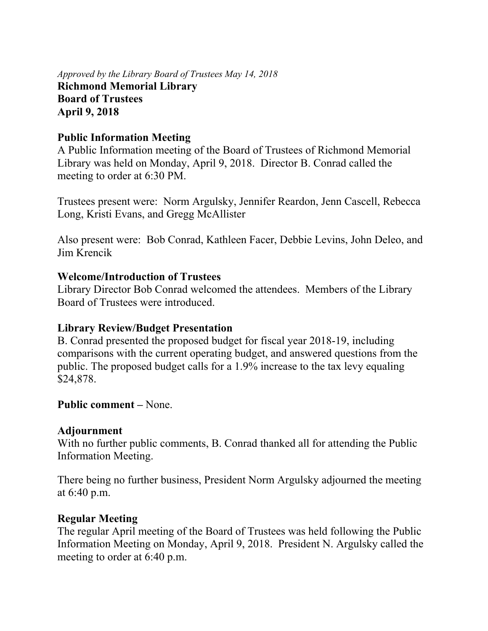*Approved by the Library Board of Trustees May 14, 2018* **Richmond Memorial Library Board of Trustees April 9, 2018**

### **Public Information Meeting**

A Public Information meeting of the Board of Trustees of Richmond Memorial Library was held on Monday, April 9, 2018. Director B. Conrad called the meeting to order at 6:30 PM.

Trustees present were: Norm Argulsky, Jennifer Reardon, Jenn Cascell, Rebecca Long, Kristi Evans, and Gregg McAllister

Also present were: Bob Conrad, Kathleen Facer, Debbie Levins, John Deleo, and Jim Krencik

### **Welcome/Introduction of Trustees**

Library Director Bob Conrad welcomed the attendees. Members of the Library Board of Trustees were introduced.

### **Library Review/Budget Presentation**

B. Conrad presented the proposed budget for fiscal year 2018-19, including comparisons with the current operating budget, and answered questions from the public. The proposed budget calls for a 1.9% increase to the tax levy equaling \$24,878.

### **Public comment –** None.

### **Adjournment**

With no further public comments, B. Conrad thanked all for attending the Public Information Meeting.

There being no further business, President Norm Argulsky adjourned the meeting at 6:40 p.m.

# **Regular Meeting**

The regular April meeting of the Board of Trustees was held following the Public Information Meeting on Monday, April 9, 2018. President N. Argulsky called the meeting to order at 6:40 p.m.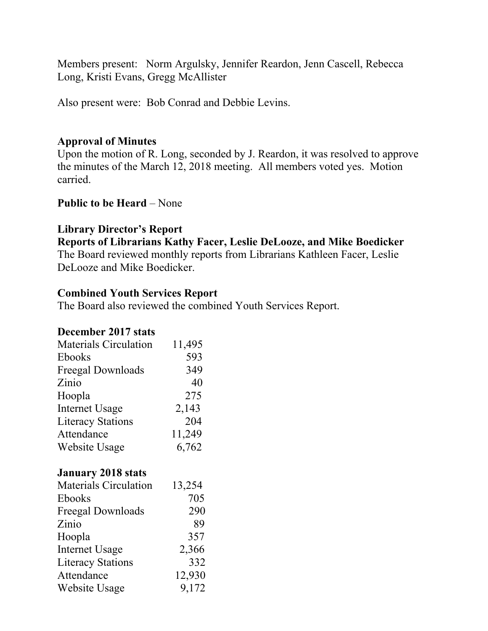Members present: Norm Argulsky, Jennifer Reardon, Jenn Cascell, Rebecca Long, Kristi Evans, Gregg McAllister

Also present were: Bob Conrad and Debbie Levins.

### **Approval of Minutes**

Upon the motion of R. Long, seconded by J. Reardon, it was resolved to approve the minutes of the March 12, 2018 meeting. All members voted yes. Motion carried.

### **Public to be Heard – None**

### **Library Director's Report**

**Reports of Librarians Kathy Facer, Leslie DeLooze, and Mike Boedicker** The Board reviewed monthly reports from Librarians Kathleen Facer, Leslie DeLooze and Mike Boedicker.

### **Combined Youth Services Report**

The Board also reviewed the combined Youth Services Report.

### **December 2017 stats**

| <b>Materials Circulation</b> | 11,495 |
|------------------------------|--------|
| Ebooks                       | 593    |
| Freegal Downloads            | 349    |
| Zinio                        | 40     |
| Hoopla                       | 275    |
| <b>Internet Usage</b>        | 2,143  |
| <b>Literacy Stations</b>     | 204    |
| Attendance                   | 11,249 |
| Website Usage                | 6,762  |

### **January 2018 stats**

| <b>Materials Circulation</b> | 13,254 |
|------------------------------|--------|
| Ebooks                       | 705    |
| Freegal Downloads            | 290    |
| Zinio                        | 89     |
| Hoopla                       | 357    |
| <b>Internet Usage</b>        | 2,366  |
| <b>Literacy Stations</b>     | 332    |
| Attendance                   | 12,930 |
| Website Usage                | 9,172  |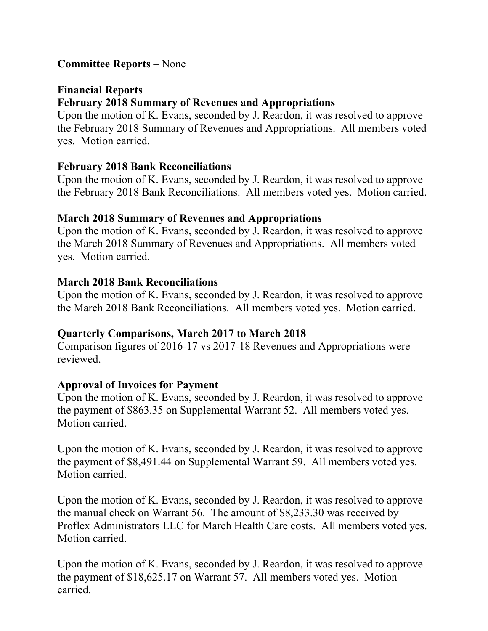### **Committee Reports –** None

### **Financial Reports February 2018 Summary of Revenues and Appropriations**

Upon the motion of K. Evans, seconded by J. Reardon, it was resolved to approve the February 2018 Summary of Revenues and Appropriations. All members voted yes. Motion carried.

### **February 2018 Bank Reconciliations**

Upon the motion of K. Evans, seconded by J. Reardon, it was resolved to approve the February 2018 Bank Reconciliations. All members voted yes. Motion carried.

### **March 2018 Summary of Revenues and Appropriations**

Upon the motion of K. Evans, seconded by J. Reardon, it was resolved to approve the March 2018 Summary of Revenues and Appropriations. All members voted yes. Motion carried.

# **March 2018 Bank Reconciliations**

Upon the motion of K. Evans, seconded by J. Reardon, it was resolved to approve the March 2018 Bank Reconciliations. All members voted yes. Motion carried.

# **Quarterly Comparisons, March 2017 to March 2018**

Comparison figures of 2016-17 vs 2017-18 Revenues and Appropriations were reviewed.

# **Approval of Invoices for Payment**

Upon the motion of K. Evans, seconded by J. Reardon, it was resolved to approve the payment of \$863.35 on Supplemental Warrant 52. All members voted yes. Motion carried.

Upon the motion of K. Evans, seconded by J. Reardon, it was resolved to approve the payment of \$8,491.44 on Supplemental Warrant 59. All members voted yes. Motion carried.

Upon the motion of K. Evans, seconded by J. Reardon, it was resolved to approve the manual check on Warrant 56. The amount of \$8,233.30 was received by Proflex Administrators LLC for March Health Care costs. All members voted yes. Motion carried.

Upon the motion of K. Evans, seconded by J. Reardon, it was resolved to approve the payment of \$18,625.17 on Warrant 57. All members voted yes. Motion carried.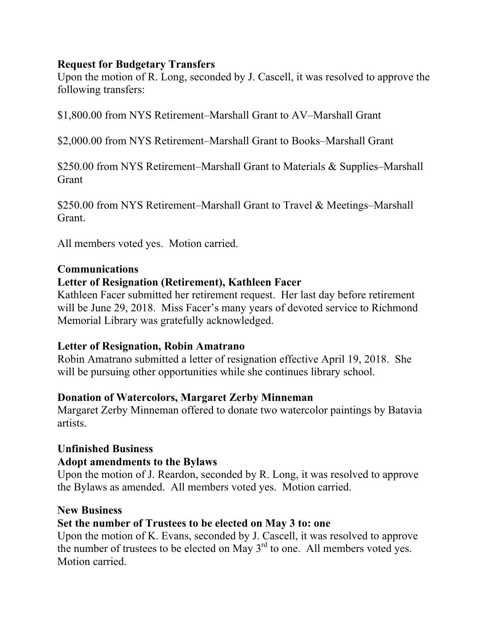### **Request for Budgetary Transfers**

Upon the motion of R. Long, seconded by J. Cascell, it was resolved to approve the following transfers:

\$1,800.00 from NYS Retirement–Marshall Grant to AV–Marshall Grant

\$2,000.00 from NYS Retirement–Marshall Grant to Books–Marshall Grant

\$250.00 from NYS Retirement–Marshall Grant to Materials & Supplies–Marshall Grant

\$250.00 from NYS Retirement–Marshall Grant to Travel & Meetings–Marshall Grant.

All members voted yes. Motion carried.

### **Communications**

# **Letter of Resignation (Retirement), Kathleen Facer**

Kathleen Facer submitted her retirement request. Her last day before retirement will be June 29, 2018. Miss Facer's many years of devoted service to Richmond Memorial Library was gratefully acknowledged.

### **Letter of Resignation, Robin Amatrano**

Robin Amatrano submitted a letter of resignation effective April 19, 2018. She will be pursuing other opportunities while she continues library school.

# **Donation of Watercolors, Margaret Zerby Minneman**

Margaret Zerby Minneman offered to donate two watercolor paintings by Batavia artists.

# **Unfinished Business**

### **Adopt amendments to the Bylaws**

Upon the motion of J. Reardon, seconded by R. Long, it was resolved to approve the Bylaws as amended. All members voted yes. Motion carried.

### **New Business**

# **Set the number of Trustees to be elected on May 3 to: one**

Upon the motion of K. Evans, seconded by J. Cascell, it was resolved to approve the number of trustees to be elected on May  $3<sup>rd</sup>$  to one. All members voted yes. Motion carried.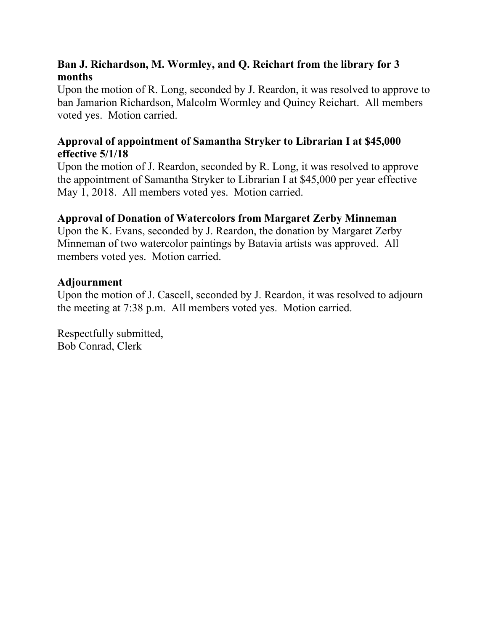# **Ban J. Richardson, M. Wormley, and Q. Reichart from the library for 3 months**

Upon the motion of R. Long, seconded by J. Reardon, it was resolved to approve to ban Jamarion Richardson, Malcolm Wormley and Quincy Reichart. All members voted yes. Motion carried.

## **Approval of appointment of Samantha Stryker to Librarian I at \$45,000 effective 5/1/18**

Upon the motion of J. Reardon, seconded by R. Long, it was resolved to approve the appointment of Samantha Stryker to Librarian I at \$45,000 per year effective May 1, 2018. All members voted yes. Motion carried.

# **Approval of Donation of Watercolors from Margaret Zerby Minneman**

Upon the K. Evans, seconded by J. Reardon, the donation by Margaret Zerby Minneman of two watercolor paintings by Batavia artists was approved. All members voted yes. Motion carried.

### **Adjournment**

Upon the motion of J. Cascell, seconded by J. Reardon, it was resolved to adjourn the meeting at 7:38 p.m. All members voted yes. Motion carried.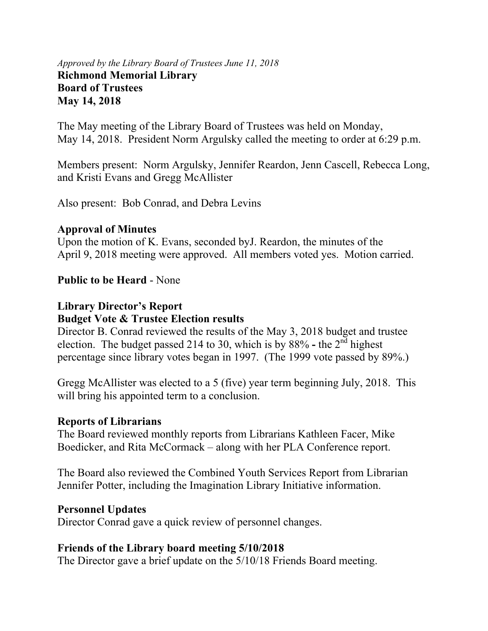### *Approved by the Library Board of Trustees June 11, 2018* **Richmond Memorial Library Board of Trustees May 14, 2018**

The May meeting of the Library Board of Trustees was held on Monday, May 14, 2018. President Norm Argulsky called the meeting to order at 6:29 p.m.

Members present: Norm Argulsky, Jennifer Reardon, Jenn Cascell, Rebecca Long, and Kristi Evans and Gregg McAllister

Also present: Bob Conrad, and Debra Levins

### **Approval of Minutes**

Upon the motion of K. Evans, seconded byJ. Reardon, the minutes of the April 9, 2018 meeting were approved. All members voted yes. Motion carried.

# **Public to be Heard** - None

### **Library Director's Report Budget Vote & Trustee Election results**

Director B. Conrad reviewed the results of the May 3, 2018 budget and trustee election. The budget passed 214 to 30, which is by 88% **-** the 2nd highest percentage since library votes began in 1997. (The 1999 vote passed by 89%.)

Gregg McAllister was elected to a 5 (five) year term beginning July, 2018. This will bring his appointed term to a conclusion.

# **Reports of Librarians**

The Board reviewed monthly reports from Librarians Kathleen Facer, Mike Boedicker, and Rita McCormack – along with her PLA Conference report.

The Board also reviewed the Combined Youth Services Report from Librarian Jennifer Potter, including the Imagination Library Initiative information.

# **Personnel Updates**

Director Conrad gave a quick review of personnel changes.

# **Friends of the Library board meeting 5/10/2018**

The Director gave a brief update on the 5/10/18 Friends Board meeting.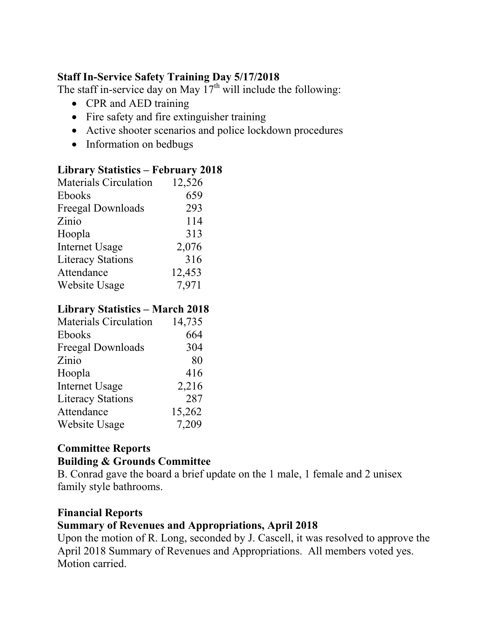## **Staff In-Service Safety Training Day 5/17/2018**

The staff in-service day on May  $17<sup>th</sup>$  will include the following:

- CPR and AED training
- Fire safety and fire extinguisher training
- Active shooter scenarios and police lockdown procedures
- Information on bedbugs

### **Library Statistics – February 2018**

| <b>Materials Circulation</b> | 12,526 |
|------------------------------|--------|
| Ebooks                       | 659    |
| <b>Freegal Downloads</b>     | 293    |
| Zinio                        | 114    |
| Hoopla                       | 313    |
| <b>Internet Usage</b>        | 2,076  |
| <b>Literacy Stations</b>     | 316    |
| Attendance                   | 12,453 |
| <b>Website Usage</b>         | 7,971  |

### **Library Statistics – March 2018**

| <b>Materials Circulation</b> | 14,735 |
|------------------------------|--------|
| Ebooks                       | 664    |
| Freegal Downloads            | 304    |
| Zinio                        | 80     |
| Hoopla                       | 416    |
| <b>Internet Usage</b>        | 2,216  |
| <b>Literacy Stations</b>     | 287    |
| Attendance                   | 15,262 |
| Website Usage                | 7,209  |

# **Committee Reports Building & Grounds Committee**

B. Conrad gave the board a brief update on the 1 male, 1 female and 2 unisex family style bathrooms.

# **Financial Reports**

### **Summary of Revenues and Appropriations, April 2018**

Upon the motion of R. Long, seconded by J. Cascell, it was resolved to approve the April 2018 Summary of Revenues and Appropriations. All members voted yes. Motion carried.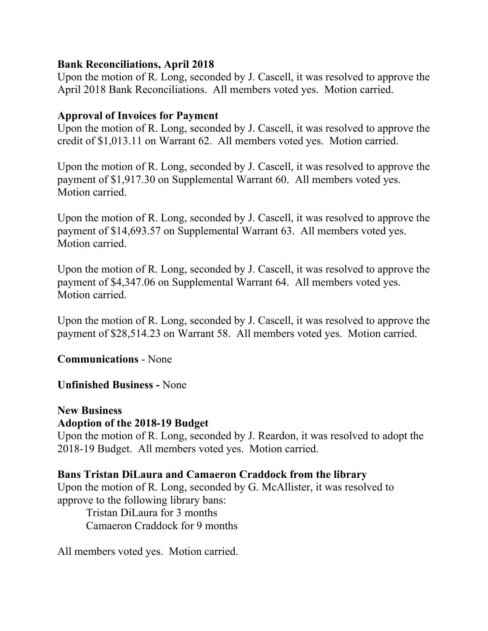### **Bank Reconciliations, April 2018**

Upon the motion of R. Long, seconded by J. Cascell, it was resolved to approve the April 2018 Bank Reconciliations. All members voted yes. Motion carried.

### **Approval of Invoices for Payment**

Upon the motion of R. Long, seconded by J. Cascell, it was resolved to approve the credit of \$1,013.11 on Warrant 62. All members voted yes. Motion carried.

Upon the motion of R. Long, seconded by J. Cascell, it was resolved to approve the payment of \$1,917.30 on Supplemental Warrant 60. All members voted yes. Motion carried.

Upon the motion of R. Long, seconded by J. Cascell, it was resolved to approve the payment of \$14,693.57 on Supplemental Warrant 63. All members voted yes. Motion carried.

Upon the motion of R. Long, seconded by J. Cascell, it was resolved to approve the payment of \$4,347.06 on Supplemental Warrant 64. All members voted yes. Motion carried.

Upon the motion of R. Long, seconded by J. Cascell, it was resolved to approve the payment of \$28,514.23 on Warrant 58. All members voted yes. Motion carried.

**Communications** - None

### **Unfinished Business -** None

# **New Business**

#### **Adoption of the 2018-19 Budget**

Upon the motion of R. Long, seconded by J. Reardon, it was resolved to adopt the 2018-19 Budget. All members voted yes. Motion carried.

### **Bans Tristan DiLaura and Camaeron Craddock from the library**

Upon the motion of R. Long, seconded by G. McAllister, it was resolved to approve to the following library bans:

Tristan DiLaura for 3 months Camaeron Craddock for 9 months

All members voted yes. Motion carried.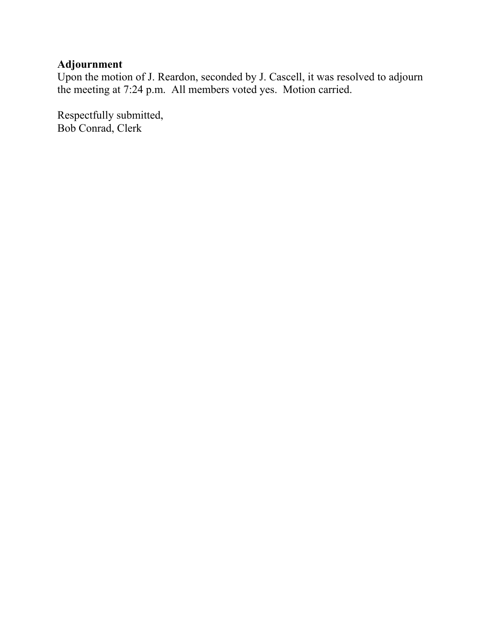# **Adjournment**

Upon the motion of J. Reardon, seconded by J. Cascell, it was resolved to adjourn the meeting at 7:24 p.m. All members voted yes. Motion carried.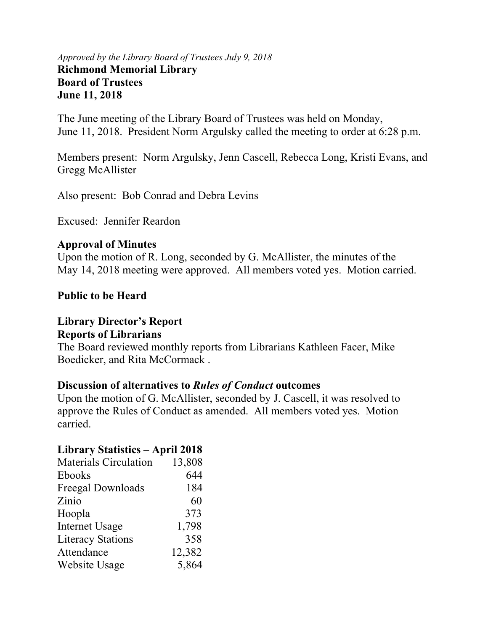#### *Approved by the Library Board of Trustees July 9, 2018* **Richmond Memorial Library Board of Trustees June 11, 2018**

The June meeting of the Library Board of Trustees was held on Monday, June 11, 2018. President Norm Argulsky called the meeting to order at 6:28 p.m.

Members present: Norm Argulsky, Jenn Cascell, Rebecca Long, Kristi Evans, and Gregg McAllister

Also present: Bob Conrad and Debra Levins

Excused: Jennifer Reardon

### **Approval of Minutes**

Upon the motion of R. Long, seconded by G. McAllister, the minutes of the May 14, 2018 meeting were approved. All members voted yes. Motion carried.

### **Public to be Heard**

#### **Library Director's Report Reports of Librarians**

The Board reviewed monthly reports from Librarians Kathleen Facer, Mike Boedicker, and Rita McCormack .

### **Discussion of alternatives to** *Rules of Conduct* **outcomes**

Upon the motion of G. McAllister, seconded by J. Cascell, it was resolved to approve the Rules of Conduct as amended. All members voted yes. Motion carried.

### **Library Statistics – April 2018**

| <b>Materials Circulation</b> | 13,808 |
|------------------------------|--------|
| Ebooks                       | 644    |
| Freegal Downloads            | 184    |
| Zinio                        | 60     |
| Hoopla                       | 373    |
| <b>Internet Usage</b>        | 1,798  |
| <b>Literacy Stations</b>     | 358    |
| Attendance                   | 12,382 |
| Website Usage                | 5,864  |
|                              |        |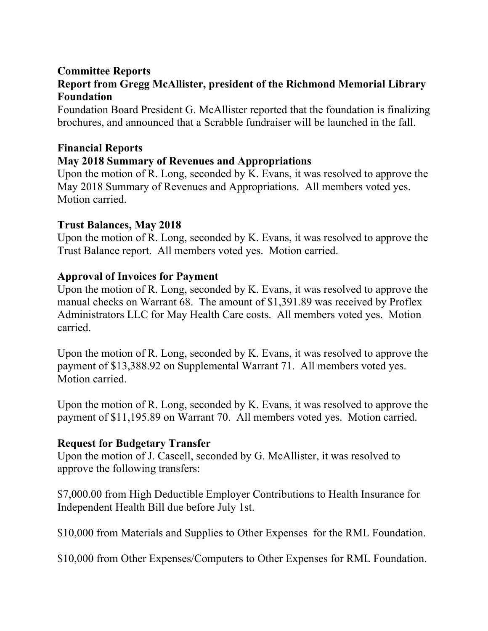### **Committee Reports Report from Gregg McAllister, president of the Richmond Memorial Library Foundation**

Foundation Board President G. McAllister reported that the foundation is finalizing brochures, and announced that a Scrabble fundraiser will be launched in the fall.

# **Financial Reports May 2018 Summary of Revenues and Appropriations**

Upon the motion of R. Long, seconded by K. Evans, it was resolved to approve the May 2018 Summary of Revenues and Appropriations. All members voted yes. Motion carried.

# **Trust Balances, May 2018**

Upon the motion of R. Long, seconded by K. Evans, it was resolved to approve the Trust Balance report. All members voted yes. Motion carried.

### **Approval of Invoices for Payment**

Upon the motion of R. Long, seconded by K. Evans, it was resolved to approve the manual checks on Warrant 68. The amount of \$1,391.89 was received by Proflex Administrators LLC for May Health Care costs. All members voted yes. Motion carried.

Upon the motion of R. Long, seconded by K. Evans, it was resolved to approve the payment of \$13,388.92 on Supplemental Warrant 71. All members voted yes. Motion carried.

Upon the motion of R. Long, seconded by K. Evans, it was resolved to approve the payment of \$11,195.89 on Warrant 70. All members voted yes. Motion carried.

# **Request for Budgetary Transfer**

Upon the motion of J. Cascell, seconded by G. McAllister, it was resolved to approve the following transfers:

\$7,000.00 from High Deductible Employer Contributions to Health Insurance for Independent Health Bill due before July 1st.

\$10,000 from Materials and Supplies to Other Expenses for the RML Foundation.

\$10,000 from Other Expenses/Computers to Other Expenses for RML Foundation.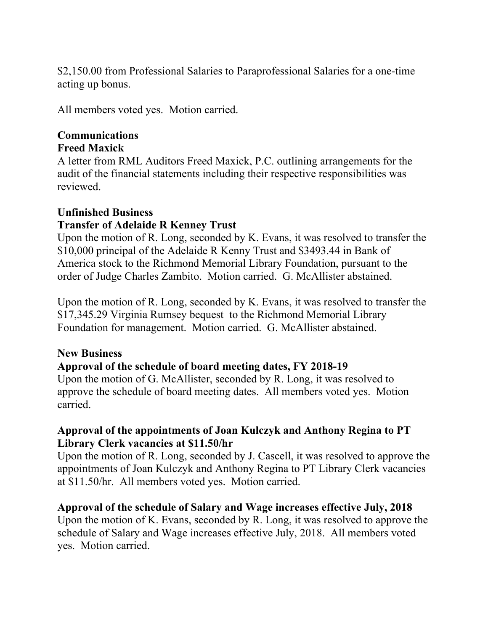\$2,150.00 from Professional Salaries to Paraprofessional Salaries for a one-time acting up bonus.

All members voted yes. Motion carried.

#### **Communications Freed Maxick**

A letter from RML Auditors Freed Maxick, P.C. outlining arrangements for the audit of the financial statements including their respective responsibilities was reviewed.

# **Unfinished Business**

# **Transfer of Adelaide R Kenney Trust**

Upon the motion of R. Long, seconded by K. Evans, it was resolved to transfer the \$10,000 principal of the Adelaide R Kenny Trust and \$3493.44 in Bank of America stock to the Richmond Memorial Library Foundation, pursuant to the order of Judge Charles Zambito. Motion carried. G. McAllister abstained.

Upon the motion of R. Long, seconded by K. Evans, it was resolved to transfer the \$17,345.29 Virginia Rumsey bequest to the Richmond Memorial Library Foundation for management. Motion carried. G. McAllister abstained.

# **New Business**

# **Approval of the schedule of board meeting dates, FY 2018-19**

Upon the motion of G. McAllister, seconded by R. Long, it was resolved to approve the schedule of board meeting dates. All members voted yes. Motion carried.

# **Approval of the appointments of Joan Kulczyk and Anthony Regina to PT Library Clerk vacancies at \$11.50/hr**

Upon the motion of R. Long, seconded by J. Cascell, it was resolved to approve the appointments of Joan Kulczyk and Anthony Regina to PT Library Clerk vacancies at \$11.50/hr. All members voted yes. Motion carried.

### **Approval of the schedule of Salary and Wage increases effective July, 2018**

Upon the motion of K. Evans, seconded by R. Long, it was resolved to approve the schedule of Salary and Wage increases effective July, 2018. All members voted yes. Motion carried.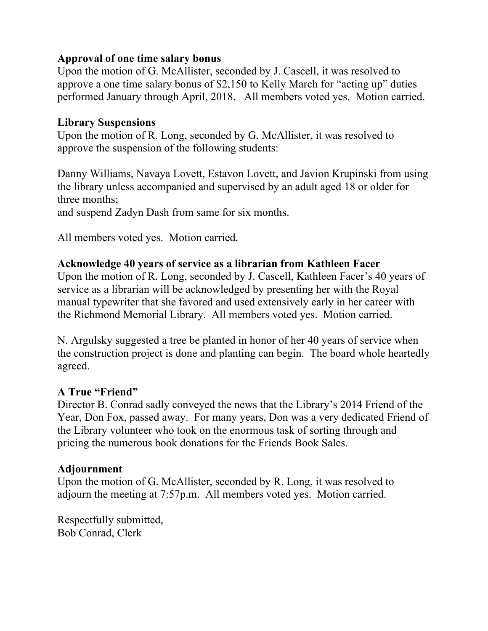### **Approval of one time salary bonus**

Upon the motion of G. McAllister, seconded by J. Cascell, it was resolved to approve a one time salary bonus of \$2,150 to Kelly March for "acting up" duties performed January through April, 2018. All members voted yes. Motion carried.

### **Library Suspensions**

Upon the motion of R. Long, seconded by G. McAllister, it was resolved to approve the suspension of the following students:

Danny Williams, Navaya Lovett, Estavon Lovett, and Javion Krupinski from using the library unless accompanied and supervised by an adult aged 18 or older for three months;

and suspend Zadyn Dash from same for six months.

All members voted yes. Motion carried.

### **Acknowledge 40 years of service as a librarian from Kathleen Facer**

Upon the motion of R. Long, seconded by J. Cascell, Kathleen Facer's 40 years of service as a librarian will be acknowledged by presenting her with the Royal manual typewriter that she favored and used extensively early in her career with the Richmond Memorial Library. All members voted yes. Motion carried.

N. Argulsky suggested a tree be planted in honor of her 40 years of service when the construction project is done and planting can begin. The board whole heartedly agreed.

### **A True "Friend"**

Director B. Conrad sadly conveyed the news that the Library's 2014 Friend of the Year, Don Fox, passed away. For many years, Don was a very dedicated Friend of the Library volunteer who took on the enormous task of sorting through and pricing the numerous book donations for the Friends Book Sales.

### **Adjournment**

Upon the motion of G. McAllister, seconded by R. Long, it was resolved to adjourn the meeting at 7:57p.m. All members voted yes. Motion carried.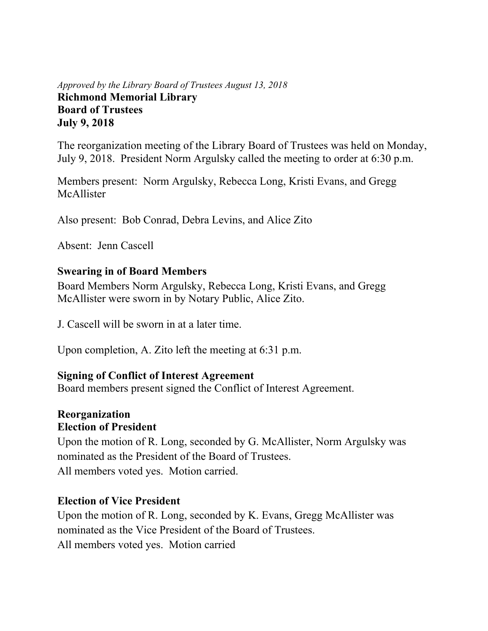### *Approved by the Library Board of Trustees August 13, 2018* **Richmond Memorial Library Board of Trustees July 9, 2018**

The reorganization meeting of the Library Board of Trustees was held on Monday, July 9, 2018. President Norm Argulsky called the meeting to order at 6:30 p.m.

Members present: Norm Argulsky, Rebecca Long, Kristi Evans, and Gregg McAllister

Also present: Bob Conrad, Debra Levins, and Alice Zito

Absent: Jenn Cascell

### **Swearing in of Board Members**

Board Members Norm Argulsky, Rebecca Long, Kristi Evans, and Gregg McAllister were sworn in by Notary Public, Alice Zito.

J. Cascell will be sworn in at a later time.

Upon completion, A. Zito left the meeting at 6:31 p.m.

### **Signing of Conflict of Interest Agreement**

Board members present signed the Conflict of Interest Agreement.

#### **Reorganization Election of President**

Upon the motion of R. Long, seconded by G. McAllister, Norm Argulsky was nominated as the President of the Board of Trustees. All members voted yes. Motion carried.

### **Election of Vice President**

Upon the motion of R. Long, seconded by K. Evans, Gregg McAllister was nominated as the Vice President of the Board of Trustees. All members voted yes. Motion carried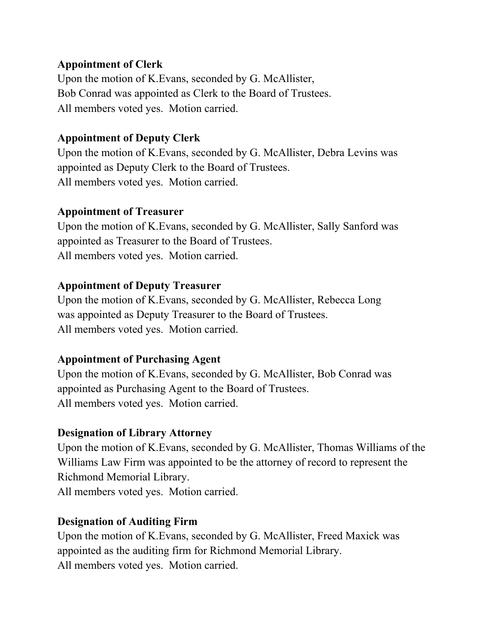### **Appointment of Clerk**

Upon the motion of K.Evans, seconded by G. McAllister, Bob Conrad was appointed as Clerk to the Board of Trustees. All members voted yes. Motion carried.

### **Appointment of Deputy Clerk**

Upon the motion of K.Evans, seconded by G. McAllister, Debra Levins was appointed as Deputy Clerk to the Board of Trustees. All members voted yes. Motion carried.

### **Appointment of Treasurer**

Upon the motion of K.Evans, seconded by G. McAllister, Sally Sanford was appointed as Treasurer to the Board of Trustees. All members voted yes. Motion carried.

# **Appointment of Deputy Treasurer**

Upon the motion of K.Evans, seconded by G. McAllister, Rebecca Long was appointed as Deputy Treasurer to the Board of Trustees. All members voted yes. Motion carried.

# **Appointment of Purchasing Agent**

Upon the motion of K.Evans, seconded by G. McAllister, Bob Conrad was appointed as Purchasing Agent to the Board of Trustees. All members voted yes. Motion carried.

# **Designation of Library Attorney**

Upon the motion of K.Evans, seconded by G. McAllister, Thomas Williams of the Williams Law Firm was appointed to be the attorney of record to represent the Richmond Memorial Library. All members voted yes. Motion carried.

# **Designation of Auditing Firm**

Upon the motion of K.Evans, seconded by G. McAllister, Freed Maxick was appointed as the auditing firm for Richmond Memorial Library. All members voted yes. Motion carried.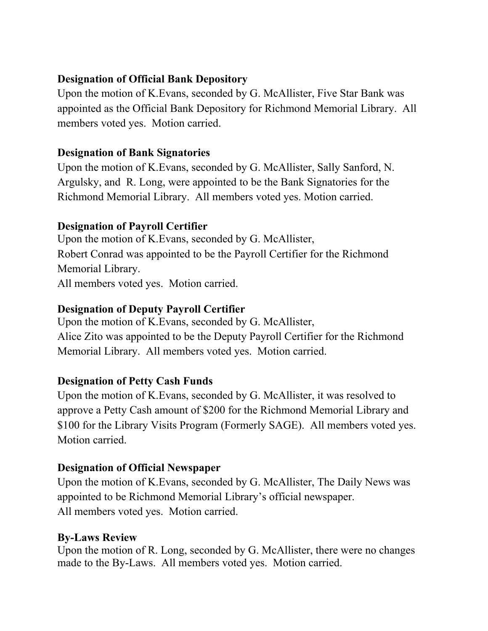# **Designation of Official Bank Depository**

Upon the motion of K.Evans, seconded by G. McAllister, Five Star Bank was appointed as the Official Bank Depository for Richmond Memorial Library.All members voted yes. Motion carried.

# **Designation of Bank Signatories**

Upon the motion of K.Evans, seconded by G. McAllister, Sally Sanford, N. Argulsky, and R. Long, were appointed to be the Bank Signatories for the Richmond Memorial Library. All members voted yes. Motion carried.

# **Designation of Payroll Certifier**

Upon the motion of K.Evans, seconded by G. McAllister, Robert Conrad was appointed to be the Payroll Certifier for the Richmond Memorial Library. All members voted yes. Motion carried.

# **Designation of Deputy Payroll Certifier**

Upon the motion of K.Evans, seconded by G. McAllister, Alice Zito was appointed to be the Deputy Payroll Certifier for the Richmond Memorial Library. All members voted yes. Motion carried.

# **Designation of Petty Cash Funds**

Upon the motion of K.Evans, seconded by G. McAllister, it was resolved to approve a Petty Cash amount of \$200 for the Richmond Memorial Library and \$100 for the Library Visits Program (Formerly SAGE). All members voted yes. Motion carried.

# **Designation of Official Newspaper**

Upon the motion of K.Evans, seconded by G. McAllister, The Daily News was appointed to be Richmond Memorial Library's official newspaper. All members voted yes. Motion carried.

# **By-Laws Review**

Upon the motion of R. Long, seconded by G. McAllister, there were no changes made to the By-Laws. All members voted yes. Motion carried.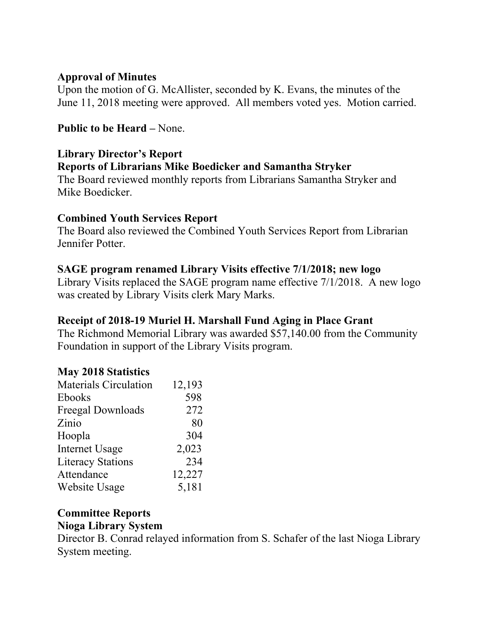### **Approval of Minutes**

Upon the motion of G. McAllister, seconded by K. Evans, the minutes of the June 11, 2018 meeting were approved. All members voted yes. Motion carried.

# **Public to be Heard –** None.

# **Library Director's Report**

### **Reports of Librarians Mike Boedicker and Samantha Stryker**

The Board reviewed monthly reports from Librarians Samantha Stryker and Mike Boedicker.

### **Combined Youth Services Report**

The Board also reviewed the Combined Youth Services Report from Librarian Jennifer Potter.

### **SAGE program renamed Library Visits effective 7/1/2018; new logo**

Library Visits replaced the SAGE program name effective 7/1/2018. A new logo was created by Library Visits clerk Mary Marks.

### **Receipt of 2018-19 Muriel H. Marshall Fund Aging in Place Grant**

The Richmond Memorial Library was awarded \$57,140.00 from the Community Foundation in support of the Library Visits program.

### **May 2018 Statistics**

| <b>Materials Circulation</b> | 12,193 |
|------------------------------|--------|
| Ebooks                       | 598    |
| Freegal Downloads            | 272    |
| Zinio                        | 80     |
| Hoopla                       | 304    |
| <b>Internet Usage</b>        | 2,023  |
| <b>Literacy Stations</b>     | 234    |
| Attendance                   | 12,227 |
| <b>Website Usage</b>         | 5,181  |
|                              |        |

### **Committee Reports**

### **Nioga Library System**

Director B. Conrad relayed information from S. Schafer of the last Nioga Library System meeting.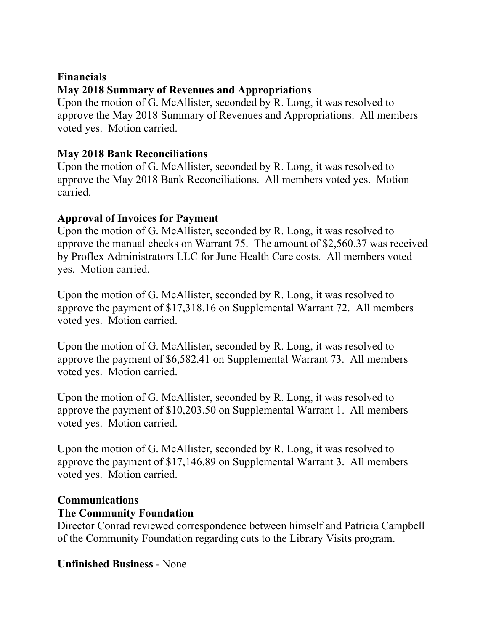# **Financials May 2018 Summary of Revenues and Appropriations**

Upon the motion of G. McAllister, seconded by R. Long, it was resolved to approve the May 2018 Summary of Revenues and Appropriations. All members voted yes. Motion carried.

# **May 2018 Bank Reconciliations**

Upon the motion of G. McAllister, seconded by R. Long, it was resolved to approve the May 2018 Bank Reconciliations. All members voted yes. Motion carried.

# **Approval of Invoices for Payment**

Upon the motion of G. McAllister, seconded by R. Long, it was resolved to approve the manual checks on Warrant 75. The amount of \$2,560.37 was received by Proflex Administrators LLC for June Health Care costs. All members voted yes. Motion carried.

Upon the motion of G. McAllister, seconded by R. Long, it was resolved to approve the payment of \$17,318.16 on Supplemental Warrant 72. All members voted yes. Motion carried.

Upon the motion of G. McAllister, seconded by R. Long, it was resolved to approve the payment of \$6,582.41 on Supplemental Warrant 73. All members voted yes. Motion carried.

Upon the motion of G. McAllister, seconded by R. Long, it was resolved to approve the payment of \$10,203.50 on Supplemental Warrant 1. All members voted yes. Motion carried.

Upon the motion of G. McAllister, seconded by R. Long, it was resolved to approve the payment of \$17,146.89 on Supplemental Warrant 3. All members voted yes. Motion carried.

# **Communications**

# **The Community Foundation**

Director Conrad reviewed correspondence between himself and Patricia Campbell of the Community Foundation regarding cuts to the Library Visits program.

# **Unfinished Business -** None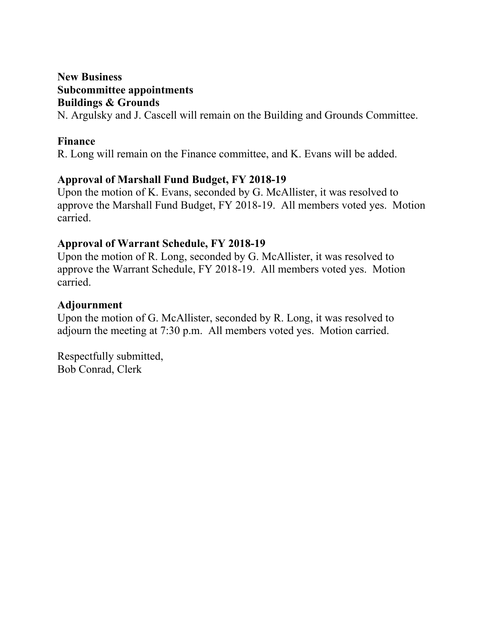### **New Business Subcommittee appointments Buildings & Grounds**

N. Argulsky and J. Cascell will remain on the Building and Grounds Committee.

### **Finance**

R. Long will remain on the Finance committee, and K. Evans will be added.

### **Approval of Marshall Fund Budget, FY 2018-19**

Upon the motion of K. Evans, seconded by G. McAllister, it was resolved to approve the Marshall Fund Budget, FY 2018-19. All members voted yes. Motion carried.

### **Approval of Warrant Schedule, FY 2018-19**

Upon the motion of R. Long, seconded by G. McAllister, it was resolved to approve the Warrant Schedule, FY 2018-19. All members voted yes. Motion carried.

### **Adjournment**

Upon the motion of G. McAllister, seconded by R. Long, it was resolved to adjourn the meeting at 7:30 p.m. All members voted yes. Motion carried.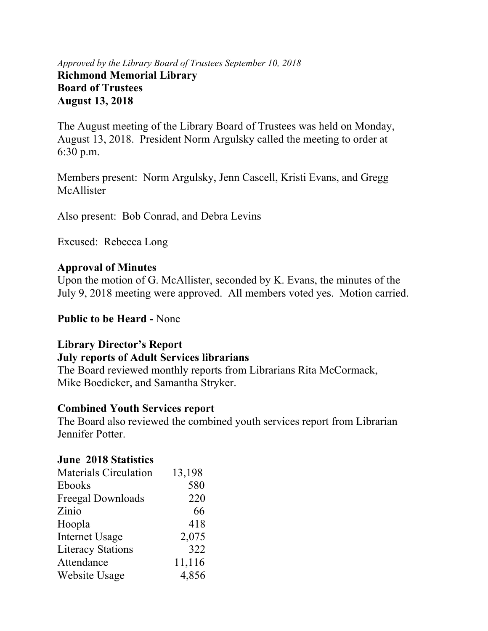### *Approved by the Library Board of Trustees September 10, 2018* **Richmond Memorial Library Board of Trustees August 13, 2018**

The August meeting of the Library Board of Trustees was held on Monday, August 13, 2018. President Norm Argulsky called the meeting to order at 6:30 p.m.

Members present: Norm Argulsky, Jenn Cascell, Kristi Evans, and Gregg McAllister

Also present: Bob Conrad, and Debra Levins

Excused: Rebecca Long

### **Approval of Minutes**

Upon the motion of G. McAllister, seconded by K. Evans, the minutes of the July 9, 2018 meeting were approved. All members voted yes. Motion carried.

**Public to be Heard -** None

### **Library Director's Report**

### **July reports of Adult Services librarians**

The Board reviewed monthly reports from Librarians Rita McCormack, Mike Boedicker, and Samantha Stryker.

### **Combined Youth Services report**

The Board also reviewed the combined youth services report from Librarian Jennifer Potter.

### **June 2018 Statistics**

| <b>Materials Circulation</b> | 13,198 |
|------------------------------|--------|
| <b>Ebooks</b>                | 580    |
| <b>Freegal Downloads</b>     | 220    |
| Zinio                        | 66     |
| Hoopla                       | 418    |
| <b>Internet Usage</b>        | 2,075  |
| <b>Literacy Stations</b>     | 322    |
| Attendance                   | 11,116 |
| Website Usage                | 4,856  |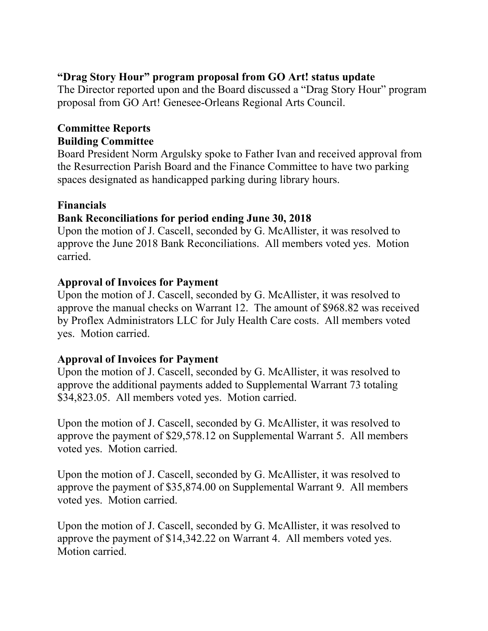# **"Drag Story Hour" program proposal from GO Art! status update**

The Director reported upon and the Board discussed a "Drag Story Hour" program proposal from GO Art! Genesee-Orleans Regional Arts Council.

### **Committee Reports Building Committee**

Board President Norm Argulsky spoke to Father Ivan and received approval from the Resurrection Parish Board and the Finance Committee to have two parking spaces designated as handicapped parking during library hours.

# **Financials**

# **Bank Reconciliations for period ending June 30, 2018**

Upon the motion of J. Cascell, seconded by G. McAllister, it was resolved to approve the June 2018 Bank Reconciliations. All members voted yes. Motion carried.

# **Approval of Invoices for Payment**

Upon the motion of J. Cascell, seconded by G. McAllister, it was resolved to approve the manual checks on Warrant 12. The amount of \$968.82 was received by Proflex Administrators LLC for July Health Care costs. All members voted yes. Motion carried.

# **Approval of Invoices for Payment**

Upon the motion of J. Cascell, seconded by G. McAllister, it was resolved to approve the additional payments added to Supplemental Warrant 73 totaling \$34,823.05. All members voted yes. Motion carried.

Upon the motion of J. Cascell, seconded by G. McAllister, it was resolved to approve the payment of \$29,578.12 on Supplemental Warrant 5. All members voted yes. Motion carried.

Upon the motion of J. Cascell, seconded by G. McAllister, it was resolved to approve the payment of \$35,874.00 on Supplemental Warrant 9. All members voted yes. Motion carried.

Upon the motion of J. Cascell, seconded by G. McAllister, it was resolved to approve the payment of \$14,342.22 on Warrant 4. All members voted yes. Motion carried.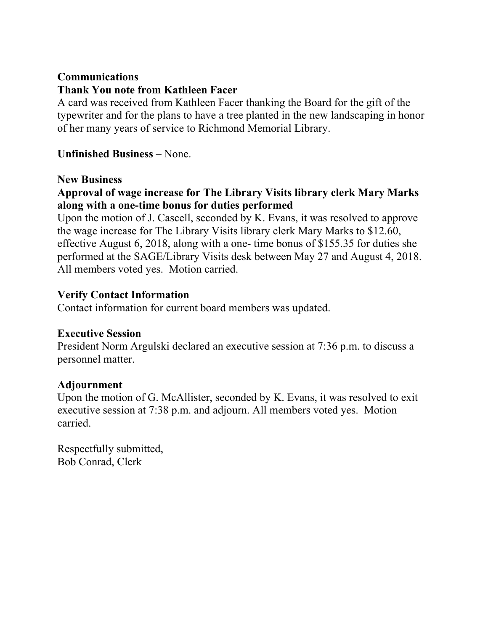# **Communications Thank You note from Kathleen Facer**

A card was received from Kathleen Facer thanking the Board for the gift of the typewriter and for the plans to have a tree planted in the new landscaping in honor of her many years of service to Richmond Memorial Library.

### **Unfinished Business –** None.

#### **New Business**

# **Approval of wage increase for The Library Visits library clerk Mary Marks along with a one-time bonus for duties performed**

Upon the motion of J. Cascell, seconded by K. Evans, it was resolved to approve the wage increase for The Library Visits library clerk Mary Marks to \$12.60, effective August 6, 2018, along with a one- time bonus of \$155.35 for duties she performed at the SAGE/Library Visits desk between May 27 and August 4, 2018. All members voted yes. Motion carried.

### **Verify Contact Information**

Contact information for current board members was updated.

### **Executive Session**

President Norm Argulski declared an executive session at 7:36 p.m. to discuss a personnel matter.

### **Adjournment**

Upon the motion of G. McAllister, seconded by K. Evans, it was resolved to exit executive session at 7:38 p.m. and adjourn. All members voted yes. Motion carried.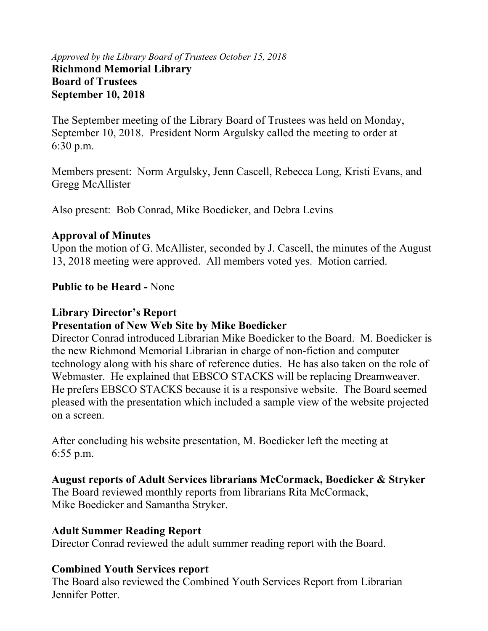### *Approved by the Library Board of Trustees October 15, 2018* **Richmond Memorial Library Board of Trustees September 10, 2018**

The September meeting of the Library Board of Trustees was held on Monday, September 10, 2018. President Norm Argulsky called the meeting to order at 6:30 p.m.

Members present: Norm Argulsky, Jenn Cascell, Rebecca Long, Kristi Evans, and Gregg McAllister

Also present: Bob Conrad, Mike Boedicker, and Debra Levins

### **Approval of Minutes**

Upon the motion of G. McAllister, seconded by J. Cascell, the minutes of the August 13, 2018 meeting were approved. All members voted yes. Motion carried.

# **Public to be Heard -** None

# **Library Director's Report**

# **Presentation of New Web Site by Mike Boedicker**

Director Conrad introduced Librarian Mike Boedicker to the Board. M. Boedicker is the new Richmond Memorial Librarian in charge of non-fiction and computer technology along with his share of reference duties. He has also taken on the role of Webmaster. He explained that EBSCO STACKS will be replacing Dreamweaver. He prefers EBSCO STACKS because it is a responsive website. The Board seemed pleased with the presentation which included a sample view of the website projected on a screen.

After concluding his website presentation, M. Boedicker left the meeting at 6:55 p.m.

# **August reports of Adult Services librarians McCormack, Boedicker & Stryker**

The Board reviewed monthly reports from librarians Rita McCormack, Mike Boedicker and Samantha Stryker.

# **Adult Summer Reading Report**

Director Conrad reviewed the adult summer reading report with the Board.

# **Combined Youth Services report**

The Board also reviewed the Combined Youth Services Report from Librarian Jennifer Potter.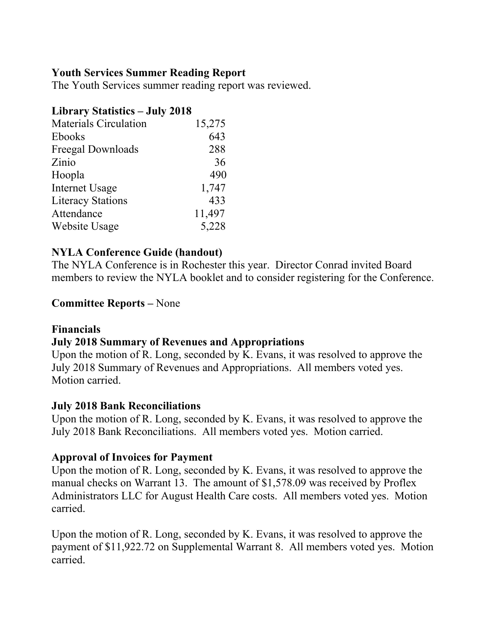### **Youth Services Summer Reading Report**

The Youth Services summer reading report was reviewed.

### **Library Statistics – July 2018**

| <b>Materials Circulation</b> | 15,275 |
|------------------------------|--------|
| <b>Ebooks</b>                | 643    |
| Freegal Downloads            | 288    |
| Zinio                        | 36     |
| Hoopla                       | 490    |
| <b>Internet Usage</b>        | 1,747  |
| <b>Literacy Stations</b>     | 433    |
| Attendance                   | 11,497 |
| Website Usage                | 5,228  |

### **NYLA Conference Guide (handout)**

The NYLA Conference is in Rochester this year. Director Conrad invited Board members to review the NYLA booklet and to consider registering for the Conference.

### **Committee Reports –** None

### **Financials**

# **July 2018 Summary of Revenues and Appropriations**

Upon the motion of R. Long, seconded by K. Evans, it was resolved to approve the July 2018 Summary of Revenues and Appropriations. All members voted yes. Motion carried.

### **July 2018 Bank Reconciliations**

Upon the motion of R. Long, seconded by K. Evans, it was resolved to approve the July 2018 Bank Reconciliations. All members voted yes. Motion carried.

### **Approval of Invoices for Payment**

Upon the motion of R. Long, seconded by K. Evans, it was resolved to approve the manual checks on Warrant 13. The amount of \$1,578.09 was received by Proflex Administrators LLC for August Health Care costs. All members voted yes. Motion carried.

Upon the motion of R. Long, seconded by K. Evans, it was resolved to approve the payment of \$11,922.72 on Supplemental Warrant 8. All members voted yes. Motion carried.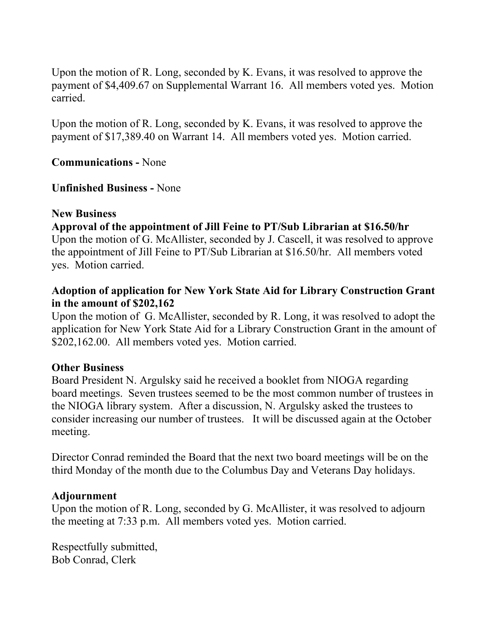Upon the motion of R. Long, seconded by K. Evans, it was resolved to approve the payment of \$4,409.67 on Supplemental Warrant 16. All members voted yes. Motion carried.

Upon the motion of R. Long, seconded by K. Evans, it was resolved to approve the payment of \$17,389.40 on Warrant 14. All members voted yes. Motion carried.

**Communications -** None

**Unfinished Business -** None

#### **New Business**

### **Approval of the appointment of Jill Feine to PT/Sub Librarian at \$16.50/hr**

Upon the motion of G. McAllister, seconded by J. Cascell, it was resolved to approve the appointment of Jill Feine to PT/Sub Librarian at \$16.50/hr. All members voted yes. Motion carried.

### **Adoption of application for New York State Aid for Library Construction Grant in the amount of \$202,162**

Upon the motion of G. McAllister, seconded by R. Long, it was resolved to adopt the application for New York State Aid for a Library Construction Grant in the amount of \$202,162.00.All members voted yes. Motion carried.

### **Other Business**

Board President N. Argulsky said he received a booklet from NIOGA regarding board meetings. Seven trustees seemed to be the most common number of trustees in the NIOGA library system. After a discussion, N. Argulsky asked the trustees to consider increasing our number of trustees. It will be discussed again at the October meeting.

Director Conrad reminded the Board that the next two board meetings will be on the third Monday of the month due to the Columbus Day and Veterans Day holidays.

### **Adjournment**

Upon the motion of R. Long, seconded by G. McAllister, it was resolved to adjourn the meeting at 7:33 p.m. All members voted yes. Motion carried.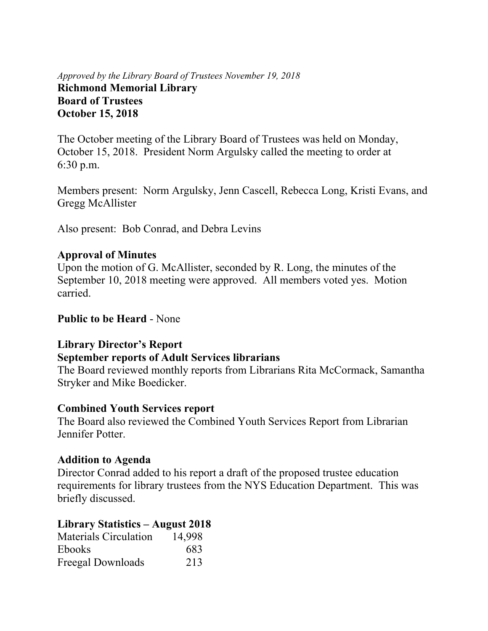*Approved by the Library Board of Trustees November 19, 2018* **Richmond Memorial Library Board of Trustees October 15, 2018** 

The October meeting of the Library Board of Trustees was held on Monday, October 15, 2018. President Norm Argulsky called the meeting to order at 6:30 p.m.

Members present: Norm Argulsky, Jenn Cascell, Rebecca Long, Kristi Evans, and Gregg McAllister

Also present: Bob Conrad, and Debra Levins

#### **Approval of Minutes**

Upon the motion of G. McAllister, seconded by R. Long, the minutes of the September 10, 2018 meeting were approved. All members voted yes. Motion carried.

**Public to be Heard** - None

#### **Library Director's Report**

#### **September reports of Adult Services librarians**

The Board reviewed monthly reports from Librarians Rita McCormack, Samantha Stryker and Mike Boedicker.

#### **Combined Youth Services report**

The Board also reviewed the Combined Youth Services Report from Librarian Jennifer Potter.

#### **Addition to Agenda**

Director Conrad added to his report a draft of the proposed trustee education requirements for library trustees from the NYS Education Department. This was briefly discussed.

### **Library Statistics – August 2018**

| <b>Materials Circulation</b> | 14,998 |
|------------------------------|--------|
| <b>Ebooks</b>                | 683    |
| Freegal Downloads            | 213    |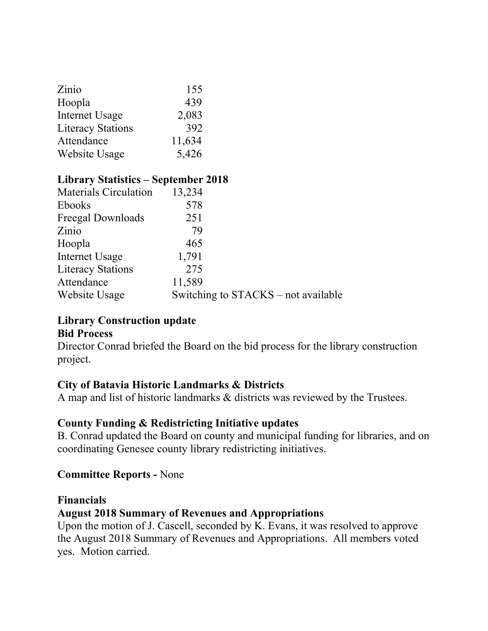| Zinio                    | 155    |
|--------------------------|--------|
| Hoopla                   | 439    |
| <b>Internet Usage</b>    | 2,083  |
| <b>Literacy Stations</b> | 392    |
| Attendance               | 11,634 |
| Website Usage            | 5,426  |

# **Library Statistics – September 2018**

| <b>Materials Circulation</b> | 13,234 |                                     |
|------------------------------|--------|-------------------------------------|
| <b>Ebooks</b>                | 578    |                                     |
| Freegal Downloads            | 251    |                                     |
| Zinio                        | 79     |                                     |
| Hoopla                       | 465    |                                     |
| Internet Usage               | 1,791  |                                     |
| <b>Literacy Stations</b>     | 275    |                                     |
| Attendance                   | 11,589 |                                     |
| Website Usage                |        | Switching to STACKS – not available |
|                              |        |                                     |

# **Library Construction update**

#### **Bid Process**

Director Conrad briefed the Board on the bid process for the library construction project.

### **City of Batavia Historic Landmarks & Districts**

A map and list of historic landmarks & districts was reviewed by the Trustees.

# **County Funding & Redistricting Initiative updates**

B. Conrad updated the Board on county and municipal funding for libraries, and on coordinating Genesee county library redistricting initiatives.

### **Committee Reports -** None

#### **Financials**

### **August 2018 Summary of Revenues and Appropriations**

Upon the motion of J. Cascell, seconded by K. Evans, it was resolved to approve the August 2018 Summary of Revenues and Appropriations. All members voted yes. Motion carried.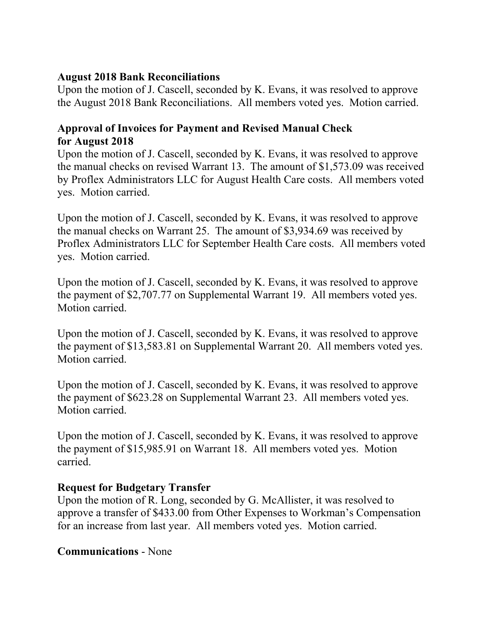### **August 2018 Bank Reconciliations**

Upon the motion of J. Cascell, seconded by K. Evans, it was resolved to approve the August 2018 Bank Reconciliations. All members voted yes. Motion carried.

### **Approval of Invoices for Payment and Revised Manual Check for August 2018**

Upon the motion of J. Cascell, seconded by K. Evans, it was resolved to approve the manual checks on revised Warrant 13. The amount of \$1,573.09 was received by Proflex Administrators LLC for August Health Care costs. All members voted yes. Motion carried.

Upon the motion of J. Cascell, seconded by K. Evans, it was resolved to approve the manual checks on Warrant 25. The amount of \$3,934.69 was received by Proflex Administrators LLC for September Health Care costs. All members voted yes. Motion carried.

Upon the motion of J. Cascell, seconded by K. Evans, it was resolved to approve the payment of \$2,707.77 on Supplemental Warrant 19. All members voted yes. Motion carried.

Upon the motion of J. Cascell, seconded by K. Evans, it was resolved to approve the payment of \$13,583.81 on Supplemental Warrant 20. All members voted yes. Motion carried.

Upon the motion of J. Cascell, seconded by K. Evans, it was resolved to approve the payment of \$623.28 on Supplemental Warrant 23. All members voted yes. Motion carried.

Upon the motion of J. Cascell, seconded by K. Evans, it was resolved to approve the payment of \$15,985.91 on Warrant 18. All members voted yes. Motion carried.

# **Request for Budgetary Transfer**

Upon the motion of R. Long, seconded by G. McAllister, it was resolved to approve a transfer of \$433.00 from Other Expenses to Workman's Compensation for an increase from last year. All members voted yes. Motion carried.

# **Communications** - None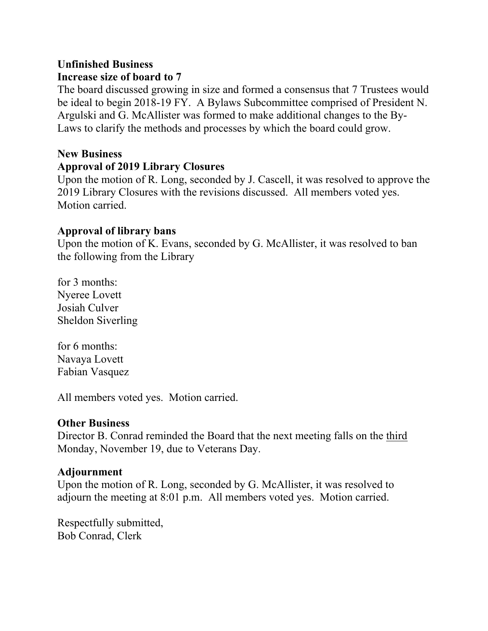# **Unfinished Business**

### **Increase size of board to 7**

The board discussed growing in size and formed a consensus that 7 Trustees would be ideal to begin 2018-19 FY. A Bylaws Subcommittee comprised of President N. Argulski and G. McAllister was formed to make additional changes to the By-Laws to clarify the methods and processes by which the board could grow.

# **New Business**

#### **Approval of 2019 Library Closures**

Upon the motion of R. Long, seconded by J. Cascell, it was resolved to approve the 2019 Library Closures with the revisions discussed. All members voted yes. Motion carried.

### **Approval of library bans**

Upon the motion of K. Evans, seconded by G. McAllister, it was resolved to ban the following from the Library

for 3 months: Nyeree Lovett Josiah Culver Sheldon Siverling

for 6 months: Navaya Lovett Fabian Vasquez

All members voted yes. Motion carried.

### **Other Business**

Director B. Conrad reminded the Board that the next meeting falls on the third Monday, November 19, due to Veterans Day.

### **Adjournment**

Upon the motion of R. Long, seconded by G. McAllister, it was resolved to adjourn the meeting at 8:01 p.m. All members voted yes. Motion carried.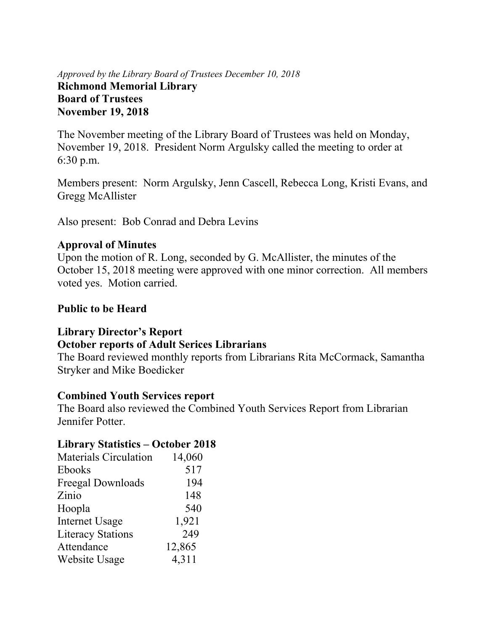### *Approved by the Library Board of Trustees December 10, 2018* **Richmond Memorial Library Board of Trustees November 19, 2018**

The November meeting of the Library Board of Trustees was held on Monday, November 19, 2018. President Norm Argulsky called the meeting to order at 6:30 p.m.

Members present: Norm Argulsky, Jenn Cascell, Rebecca Long, Kristi Evans, and Gregg McAllister

Also present: Bob Conrad and Debra Levins

### **Approval of Minutes**

Upon the motion of R. Long, seconded by G. McAllister, the minutes of the October 15, 2018 meeting were approved with one minor correction. All members voted yes. Motion carried.

### **Public to be Heard**

# **Library Director's Report**

### **October reports of Adult Serices Librarians**

The Board reviewed monthly reports from Librarians Rita McCormack, Samantha Stryker and Mike Boedicker

### **Combined Youth Services report**

The Board also reviewed the Combined Youth Services Report from Librarian Jennifer Potter.

# **Library Statistics – October 2018**

| <b>Materials Circulation</b> | 14,060 |
|------------------------------|--------|
| Ebooks                       | 517    |
| Freegal Downloads            | 194    |
| Zinio                        | 148    |
| Hoopla                       | 540    |
| <b>Internet Usage</b>        | 1,921  |
| <b>Literacy Stations</b>     | 249    |
| Attendance                   | 12,865 |
| Website Usage                | 4,311  |
|                              |        |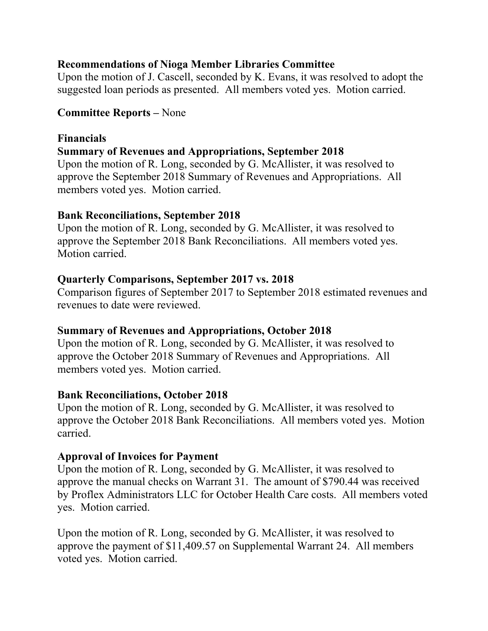### **Recommendations of Nioga Member Libraries Committee**

Upon the motion of J. Cascell, seconded by K. Evans, it was resolved to adopt the suggested loan periods as presented. All members voted yes. Motion carried.

### **Committee Reports –** None

### **Financials**

### **Summary of Revenues and Appropriations, September 2018**

Upon the motion of R. Long, seconded by G. McAllister, it was resolved to approve the September 2018 Summary of Revenues and Appropriations. All members voted yes. Motion carried.

### **Bank Reconciliations, September 2018**

Upon the motion of R. Long, seconded by G. McAllister, it was resolved to approve the September 2018 Bank Reconciliations. All members voted yes. Motion carried.

### **Quarterly Comparisons, September 2017 vs. 2018**

Comparison figures of September 2017 to September 2018 estimated revenues and revenues to date were reviewed.

### **Summary of Revenues and Appropriations, October 2018**

Upon the motion of R. Long, seconded by G. McAllister, it was resolved to approve the October 2018 Summary of Revenues and Appropriations. All members voted yes. Motion carried.

### **Bank Reconciliations, October 2018**

Upon the motion of R. Long, seconded by G. McAllister, it was resolved to approve the October 2018 Bank Reconciliations. All members voted yes. Motion carried.

### **Approval of Invoices for Payment**

Upon the motion of R. Long, seconded by G. McAllister, it was resolved to approve the manual checks on Warrant 31. The amount of \$790.44 was received by Proflex Administrators LLC for October Health Care costs. All members voted yes. Motion carried.

Upon the motion of R. Long, seconded by G. McAllister, it was resolved to approve the payment of \$11,409.57 on Supplemental Warrant 24. All members voted yes. Motion carried.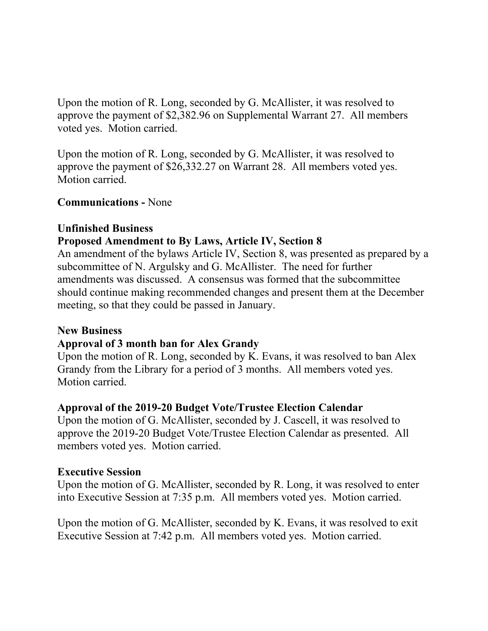Upon the motion of R. Long, seconded by G. McAllister, it was resolved to approve the payment of \$2,382.96 on Supplemental Warrant 27. All members voted yes. Motion carried.

Upon the motion of R. Long, seconded by G. McAllister, it was resolved to approve the payment of \$26,332.27 on Warrant 28. All members voted yes. Motion carried.

**Communications -** None

### **Unfinished Business**

### **Proposed Amendment to By Laws, Article IV, Section 8**

An amendment of the bylaws Article IV, Section 8, was presented as prepared by a subcommittee of N. Argulsky and G. McAllister. The need for further amendments was discussed. A consensus was formed that the subcommittee should continue making recommended changes and present them at the December meeting, so that they could be passed in January.

#### **New Business**

# **Approval of 3 month ban for Alex Grandy**

Upon the motion of R. Long, seconded by K. Evans, it was resolved to ban Alex Grandy from the Library for a period of 3 months. All members voted yes. Motion carried.

### **Approval of the 2019-20 Budget Vote/Trustee Election Calendar**

Upon the motion of G. McAllister, seconded by J. Cascell, it was resolved to approve the 2019-20 Budget Vote/Trustee Election Calendar as presented. All members voted yes. Motion carried.

### **Executive Session**

Upon the motion of G. McAllister, seconded by R. Long, it was resolved to enter into Executive Session at 7:35 p.m. All members voted yes. Motion carried.

Upon the motion of G. McAllister, seconded by K. Evans, it was resolved to exit Executive Session at 7:42 p.m. All members voted yes. Motion carried.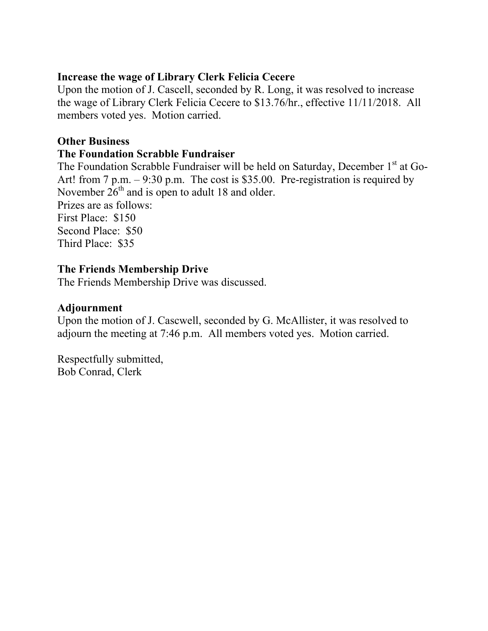### **Increase the wage of Library Clerk Felicia Cecere**

Upon the motion of J. Cascell, seconded by R. Long, it was resolved to increase the wage of Library Clerk Felicia Cecere to \$13.76/hr., effective 11/11/2018. All members voted yes. Motion carried.

### **Other Business**

### **The Foundation Scrabble Fundraiser**

The Foundation Scrabble Fundraiser will be held on Saturday, December  $1<sup>st</sup>$  at Go-Art! from 7 p.m. – 9:30 p.m. The cost is \$35.00. Pre-registration is required by November  $26<sup>th</sup>$  and is open to adult 18 and older. Prizes are as follows: First Place: \$150 Second Place: \$50 Third Place: \$35

### **The Friends Membership Drive**

The Friends Membership Drive was discussed.

### **Adjournment**

Upon the motion of J. Cascwell, seconded by G. McAllister, it was resolved to adjourn the meeting at 7:46 p.m. All members voted yes. Motion carried.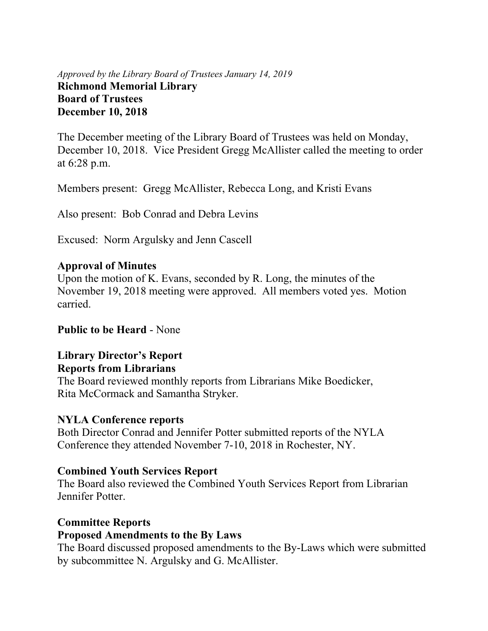### *Approved by the Library Board of Trustees January 14, 2019* **Richmond Memorial Library Board of Trustees December 10, 2018**

The December meeting of the Library Board of Trustees was held on Monday, December 10, 2018. Vice President Gregg McAllister called the meeting to order at 6:28 p.m.

Members present: Gregg McAllister, Rebecca Long, and Kristi Evans

Also present: Bob Conrad and Debra Levins

Excused: Norm Argulsky and Jenn Cascell

#### **Approval of Minutes**

Upon the motion of K. Evans, seconded by R. Long, the minutes of the November 19, 2018 meeting were approved. All members voted yes. Motion carried.

#### **Public to be Heard** - None

### **Library Director's Report Reports from Librarians**

The Board reviewed monthly reports from Librarians Mike Boedicker, Rita McCormack and Samantha Stryker.

#### **NYLA Conference reports**

Both Director Conrad and Jennifer Potter submitted reports of the NYLA Conference they attended November 7-10, 2018 in Rochester, NY.

#### **Combined Youth Services Report**

The Board also reviewed the Combined Youth Services Report from Librarian Jennifer Potter.

#### **Committee Reports**

#### **Proposed Amendments to the By Laws**

The Board discussed proposed amendments to the By-Laws which were submitted by subcommittee N. Argulsky and G. McAllister.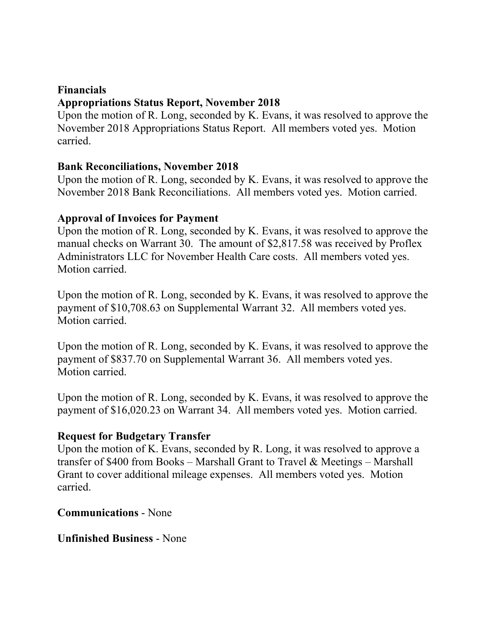#### **Financials**

### **Appropriations Status Report, November 2018**

Upon the motion of R. Long, seconded by K. Evans, it was resolved to approve the November 2018 Appropriations Status Report. All members voted yes. Motion carried.

### **Bank Reconciliations, November 2018**

Upon the motion of R. Long, seconded by K. Evans, it was resolved to approve the November 2018 Bank Reconciliations. All members voted yes. Motion carried.

### **Approval of Invoices for Payment**

Upon the motion of R. Long, seconded by K. Evans, it was resolved to approve the manual checks on Warrant 30. The amount of \$2,817.58 was received by Proflex Administrators LLC for November Health Care costs. All members voted yes. Motion carried.

Upon the motion of R. Long, seconded by K. Evans, it was resolved to approve the payment of \$10,708.63 on Supplemental Warrant 32. All members voted yes. Motion carried.

Upon the motion of R. Long, seconded by K. Evans, it was resolved to approve the payment of \$837.70 on Supplemental Warrant 36. All members voted yes. Motion carried.

Upon the motion of R. Long, seconded by K. Evans, it was resolved to approve the payment of \$16,020.23 on Warrant 34. All members voted yes. Motion carried.

### **Request for Budgetary Transfer**

Upon the motion of K. Evans, seconded by R. Long, it was resolved to approve a transfer of \$400 from Books – Marshall Grant to Travel  $\&$  Meetings – Marshall Grant to cover additional mileage expenses. All members voted yes. Motion carried.

**Communications** - None

**Unfinished Business** - None